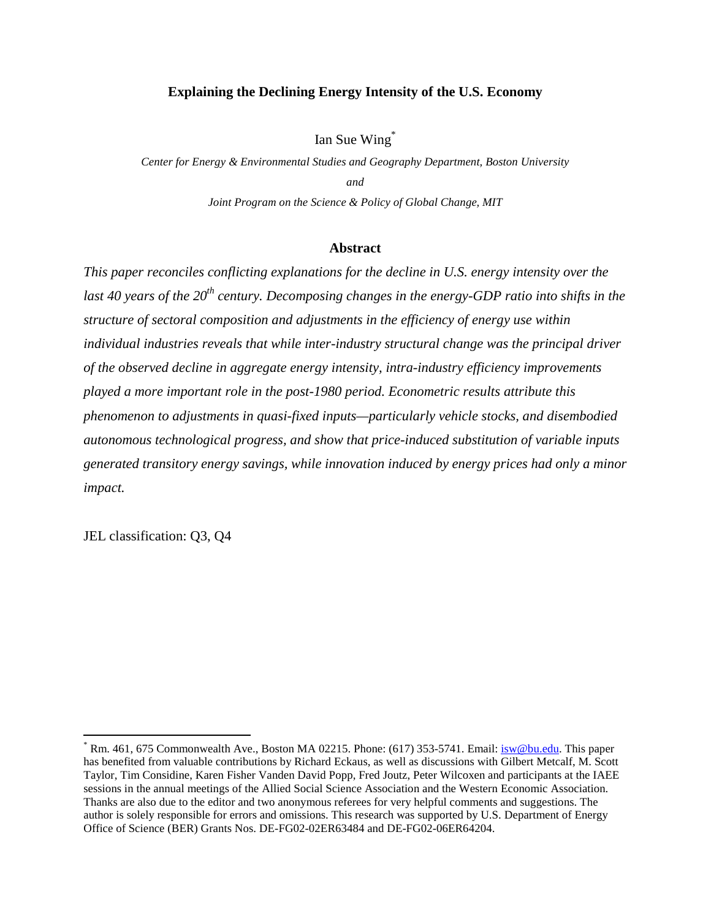### **Explaining the Declining Energy Intensity of the U.S. Economy**

Ian Sue Wing\*

*Center for Energy & Environmental Studies and Geography Department, Boston University and Joint Program on the Science & Policy of Global Change, MIT* 

#### **Abstract**

*This paper reconciles conflicting explanations for the decline in U.S. energy intensity over the last 40 years of the 20th century. Decomposing changes in the energy-GDP ratio into shifts in the structure of sectoral composition and adjustments in the efficiency of energy use within individual industries reveals that while inter-industry structural change was the principal driver of the observed decline in aggregate energy intensity, intra-industry efficiency improvements played a more important role in the post-1980 period. Econometric results attribute this phenomenon to adjustments in quasi-fixed inputs—particularly vehicle stocks, and disembodied autonomous technological progress, and show that price-induced substitution of variable inputs generated transitory energy savings, while innovation induced by energy prices had only a minor impact.* 

JEL classification: Q3, Q4

<sup>&</sup>lt;sup>\*</sup> Rm. 461, 675 Commonwealth Ave., Boston MA 02215. Phone: (617) 353-5741. Email: *isw@bu.edu*. This paper has benefited from valuable contributions by Richard Eckaus, as well as discussions with Gilbert Metcalf, M. Scott Taylor, Tim Considine, Karen Fisher Vanden David Popp, Fred Joutz, Peter Wilcoxen and participants at the IAEE sessions in the annual meetings of the Allied Social Science Association and the Western Economic Association. Thanks are also due to the editor and two anonymous referees for very helpful comments and suggestions. The author is solely responsible for errors and omissions. This research was supported by U.S. Department of Energy Office of Science (BER) Grants Nos. DE-FG02-02ER63484 and DE-FG02-06ER64204.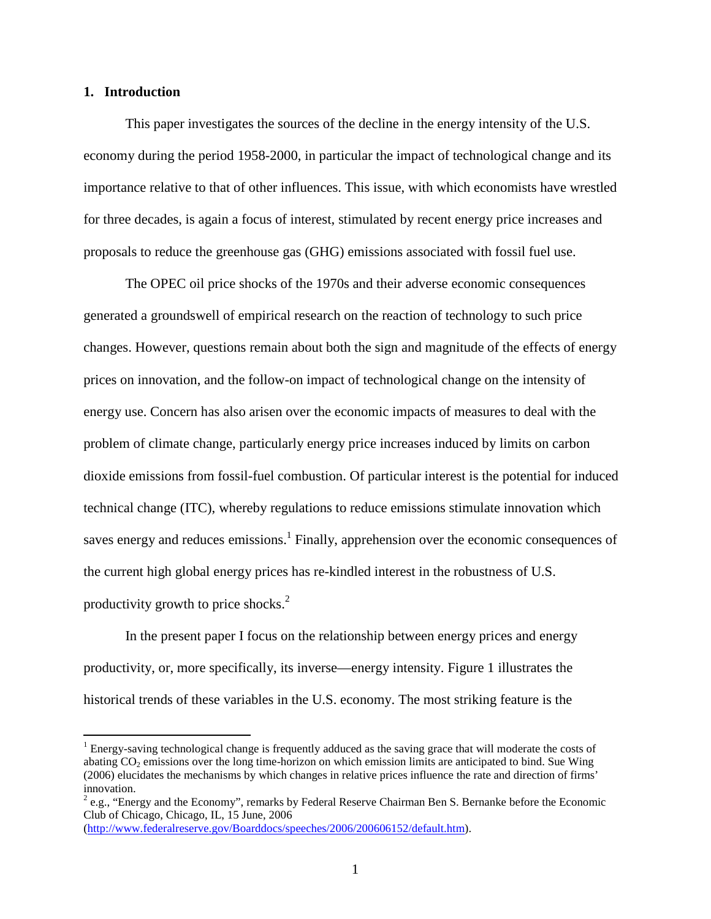### **1. Introduction**

 $\overline{a}$ 

This paper investigates the sources of the decline in the energy intensity of the U.S. economy during the period 1958-2000, in particular the impact of technological change and its importance relative to that of other influences. This issue, with which economists have wrestled for three decades, is again a focus of interest, stimulated by recent energy price increases and proposals to reduce the greenhouse gas (GHG) emissions associated with fossil fuel use.

The OPEC oil price shocks of the 1970s and their adverse economic consequences generated a groundswell of empirical research on the reaction of technology to such price changes. However, questions remain about both the sign and magnitude of the effects of energy prices on innovation, and the follow-on impact of technological change on the intensity of energy use. Concern has also arisen over the economic impacts of measures to deal with the problem of climate change, particularly energy price increases induced by limits on carbon dioxide emissions from fossil-fuel combustion. Of particular interest is the potential for induced technical change (ITC), whereby regulations to reduce emissions stimulate innovation which saves energy and reduces emissions.<sup>1</sup> Finally, apprehension over the economic consequences of the current high global energy prices has re-kindled interest in the robustness of U.S. productivity growth to price shocks.<sup>2</sup>

In the present paper I focus on the relationship between energy prices and energy productivity, or, more specifically, its inverse—energy intensity. Figure 1 illustrates the historical trends of these variables in the U.S. economy. The most striking feature is the

(http://www.federalreserve.gov/Boarddocs/speeches/2006/200606152/default.htm).

<sup>&</sup>lt;sup>1</sup> Energy-saving technological change is frequently adduced as the saving grace that will moderate the costs of abating  $CO<sub>2</sub>$  emissions over the long time-horizon on which emission limits are anticipated to bind. Sue Wing (2006) elucidates the mechanisms by which changes in relative prices influence the rate and direction of firms' innovation.

 $2$  e.g., "Energy and the Economy", remarks by Federal Reserve Chairman Ben S. Bernanke before the Economic Club of Chicago, Chicago, IL, 15 June, 2006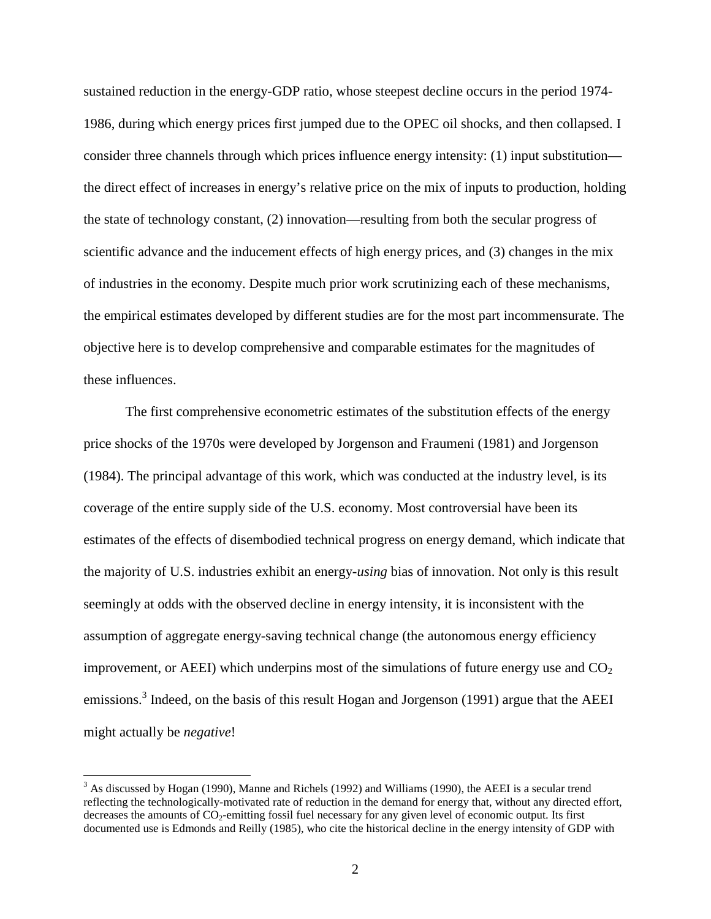sustained reduction in the energy-GDP ratio, whose steepest decline occurs in the period 1974- 1986, during which energy prices first jumped due to the OPEC oil shocks, and then collapsed. I consider three channels through which prices influence energy intensity: (1) input substitution the direct effect of increases in energy's relative price on the mix of inputs to production, holding the state of technology constant, (2) innovation—resulting from both the secular progress of scientific advance and the inducement effects of high energy prices, and (3) changes in the mix of industries in the economy. Despite much prior work scrutinizing each of these mechanisms, the empirical estimates developed by different studies are for the most part incommensurate. The objective here is to develop comprehensive and comparable estimates for the magnitudes of these influences.

The first comprehensive econometric estimates of the substitution effects of the energy price shocks of the 1970s were developed by Jorgenson and Fraumeni (1981) and Jorgenson (1984). The principal advantage of this work, which was conducted at the industry level, is its coverage of the entire supply side of the U.S. economy. Most controversial have been its estimates of the effects of disembodied technical progress on energy demand, which indicate that the majority of U.S. industries exhibit an energy-*using* bias of innovation. Not only is this result seemingly at odds with the observed decline in energy intensity, it is inconsistent with the assumption of aggregate energy-saving technical change (the autonomous energy efficiency improvement, or AEEI) which underpins most of the simulations of future energy use and  $CO<sub>2</sub>$ emissions.<sup>3</sup> Indeed, on the basis of this result Hogan and Jorgenson (1991) argue that the AEEI might actually be *negative*!

 $3$  As discussed by Hogan (1990), Manne and Richels (1992) and Williams (1990), the AEEI is a secular trend reflecting the technologically-motivated rate of reduction in the demand for energy that, without any directed effort, decreases the amounts of  $CO_2$ -emitting fossil fuel necessary for any given level of economic output. Its first documented use is Edmonds and Reilly (1985), who cite the historical decline in the energy intensity of GDP with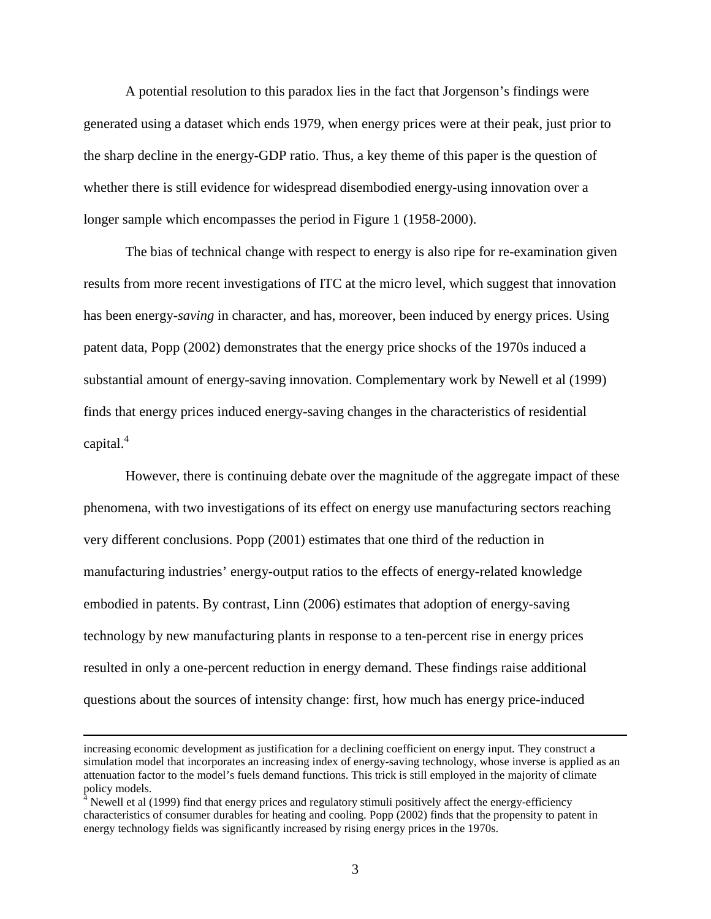A potential resolution to this paradox lies in the fact that Jorgenson's findings were generated using a dataset which ends 1979, when energy prices were at their peak, just prior to the sharp decline in the energy-GDP ratio. Thus, a key theme of this paper is the question of whether there is still evidence for widespread disembodied energy-using innovation over a longer sample which encompasses the period in Figure 1 (1958-2000).

The bias of technical change with respect to energy is also ripe for re-examination given results from more recent investigations of ITC at the micro level, which suggest that innovation has been energy-*saving* in character, and has, moreover, been induced by energy prices. Using patent data, Popp (2002) demonstrates that the energy price shocks of the 1970s induced a substantial amount of energy-saving innovation. Complementary work by Newell et al (1999) finds that energy prices induced energy-saving changes in the characteristics of residential capital.<sup>4</sup>

However, there is continuing debate over the magnitude of the aggregate impact of these phenomena, with two investigations of its effect on energy use manufacturing sectors reaching very different conclusions. Popp (2001) estimates that one third of the reduction in manufacturing industries' energy-output ratios to the effects of energy-related knowledge embodied in patents. By contrast, Linn (2006) estimates that adoption of energy-saving technology by new manufacturing plants in response to a ten-percent rise in energy prices resulted in only a one-percent reduction in energy demand. These findings raise additional questions about the sources of intensity change: first, how much has energy price-induced

increasing economic development as justification for a declining coefficient on energy input. They construct a simulation model that incorporates an increasing index of energy-saving technology, whose inverse is applied as an attenuation factor to the model's fuels demand functions. This trick is still employed in the majority of climate policy models.

 $4$  Newell et al (1999) find that energy prices and regulatory stimuli positively affect the energy-efficiency characteristics of consumer durables for heating and cooling. Popp (2002) finds that the propensity to patent in energy technology fields was significantly increased by rising energy prices in the 1970s.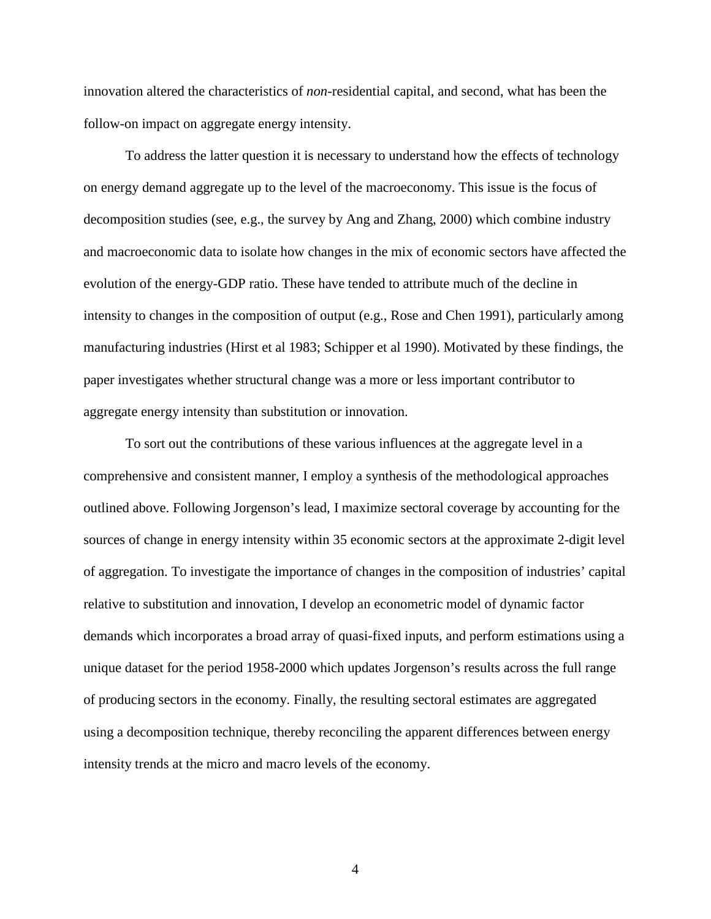innovation altered the characteristics of *non*-residential capital, and second, what has been the follow-on impact on aggregate energy intensity.

To address the latter question it is necessary to understand how the effects of technology on energy demand aggregate up to the level of the macroeconomy. This issue is the focus of decomposition studies (see, e.g., the survey by Ang and Zhang, 2000) which combine industry and macroeconomic data to isolate how changes in the mix of economic sectors have affected the evolution of the energy-GDP ratio. These have tended to attribute much of the decline in intensity to changes in the composition of output (e.g., Rose and Chen 1991), particularly among manufacturing industries (Hirst et al 1983; Schipper et al 1990). Motivated by these findings, the paper investigates whether structural change was a more or less important contributor to aggregate energy intensity than substitution or innovation.

To sort out the contributions of these various influences at the aggregate level in a comprehensive and consistent manner, I employ a synthesis of the methodological approaches outlined above. Following Jorgenson's lead, I maximize sectoral coverage by accounting for the sources of change in energy intensity within 35 economic sectors at the approximate 2-digit level of aggregation. To investigate the importance of changes in the composition of industries' capital relative to substitution and innovation, I develop an econometric model of dynamic factor demands which incorporates a broad array of quasi-fixed inputs, and perform estimations using a unique dataset for the period 1958-2000 which updates Jorgenson's results across the full range of producing sectors in the economy. Finally, the resulting sectoral estimates are aggregated using a decomposition technique, thereby reconciling the apparent differences between energy intensity trends at the micro and macro levels of the economy.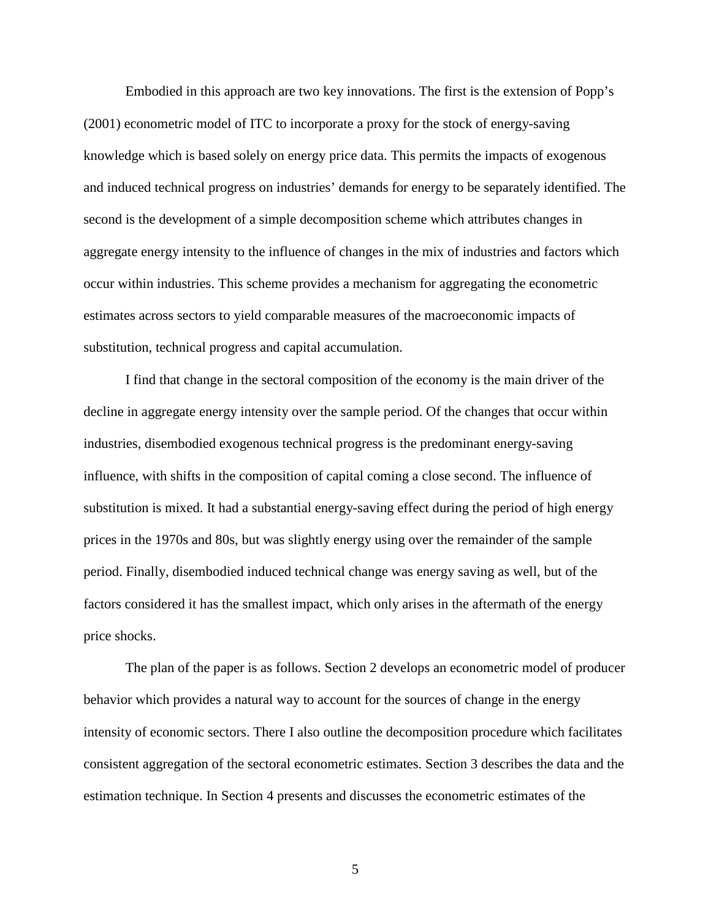Embodied in this approach are two key innovations. The first is the extension of Popp's (2001) econometric model of ITC to incorporate a proxy for the stock of energy-saving knowledge which is based solely on energy price data. This permits the impacts of exogenous and induced technical progress on industries' demands for energy to be separately identified. The second is the development of a simple decomposition scheme which attributes changes in aggregate energy intensity to the influence of changes in the mix of industries and factors which occur within industries. This scheme provides a mechanism for aggregating the econometric estimates across sectors to yield comparable measures of the macroeconomic impacts of substitution, technical progress and capital accumulation.

I find that change in the sectoral composition of the economy is the main driver of the decline in aggregate energy intensity over the sample period. Of the changes that occur within industries, disembodied exogenous technical progress is the predominant energy-saving influence, with shifts in the composition of capital coming a close second. The influence of substitution is mixed. It had a substantial energy-saving effect during the period of high energy prices in the 1970s and 80s, but was slightly energy using over the remainder of the sample period. Finally, disembodied induced technical change was energy saving as well, but of the factors considered it has the smallest impact, which only arises in the aftermath of the energy price shocks.

The plan of the paper is as follows. Section 2 develops an econometric model of producer behavior which provides a natural way to account for the sources of change in the energy intensity of economic sectors. There I also outline the decomposition procedure which facilitates consistent aggregation of the sectoral econometric estimates. Section 3 describes the data and the estimation technique. In Section 4 presents and discusses the econometric estimates of the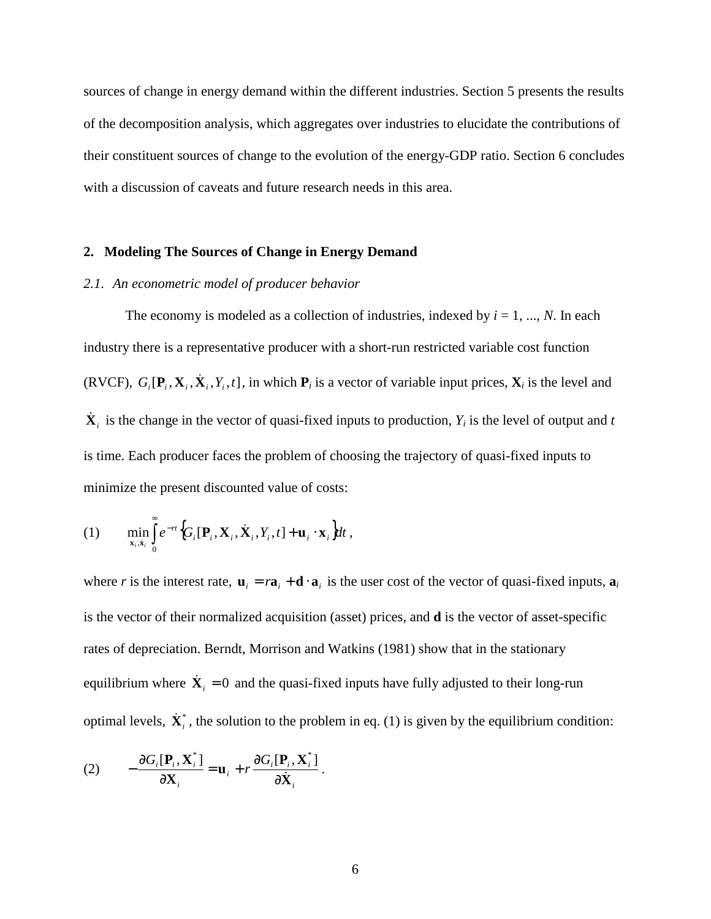sources of change in energy demand within the different industries. Section 5 presents the results of the decomposition analysis, which aggregates over industries to elucidate the contributions of their constituent sources of change to the evolution of the energy-GDP ratio. Section 6 concludes with a discussion of caveats and future research needs in this area.

#### **2. Modeling The Sources of Change in Energy Demand**

#### *2.1. An econometric model of producer behavior*

The economy is modeled as a collection of industries, indexed by  $i = 1, ..., N$ . In each industry there is a representative producer with a short-run restricted variable cost function (RVCF),  $G_i[\mathbf{P}_i, \mathbf{X}_i, \dot{\mathbf{X}}_i, Y_i, t]$ , in which  $\mathbf{P}_i$  is a vector of variable input prices,  $\mathbf{X}_i$  is the level and  $\dot{\mathbf{X}}_i$  is the change in the vector of quasi-fixed inputs to production,  $Y_i$  is the level of output and *t* is time. Each producer faces the problem of choosing the trajectory of quasi-fixed inputs to minimize the present discounted value of costs:

(1) 
$$
\min_{\mathbf{x}_i, \dot{\mathbf{x}}_i} \int_{0}^{\infty} e^{-rt} \Big\{ G_i[\mathbf{P}_i, \mathbf{X}_i, \dot{\mathbf{X}}_i, Y_i, t] + \mathbf{u}_i \cdot \mathbf{x}_i \Big\} dt,
$$

where *r* is the interest rate,  $\mathbf{u}_i = r\mathbf{a}_i + \mathbf{d} \cdot \mathbf{a}_i$  is the user cost of the vector of quasi-fixed inputs,  $\mathbf{a}_i$ is the vector of their normalized acquisition (asset) prices, and **d** is the vector of asset-specific rates of depreciation. Berndt, Morrison and Watkins (1981) show that in the stationary equilibrium where  $\dot{\mathbf{X}}_i = 0$  and the quasi-fixed inputs have fully adjusted to their long-run optimal levels,  $\dot{\mathbf{X}}_i^*$ , the solution to the problem in eq. (1) is given by the equilibrium condition:

(2) 
$$
-\frac{\partial G_i[\mathbf{P}_i, \mathbf{X}_i^*]}{\partial \mathbf{X}_i} = \mathbf{u}_i + r \frac{\partial G_i[\mathbf{P}_i, \mathbf{X}_i^*]}{\partial \dot{\mathbf{X}}_i}.
$$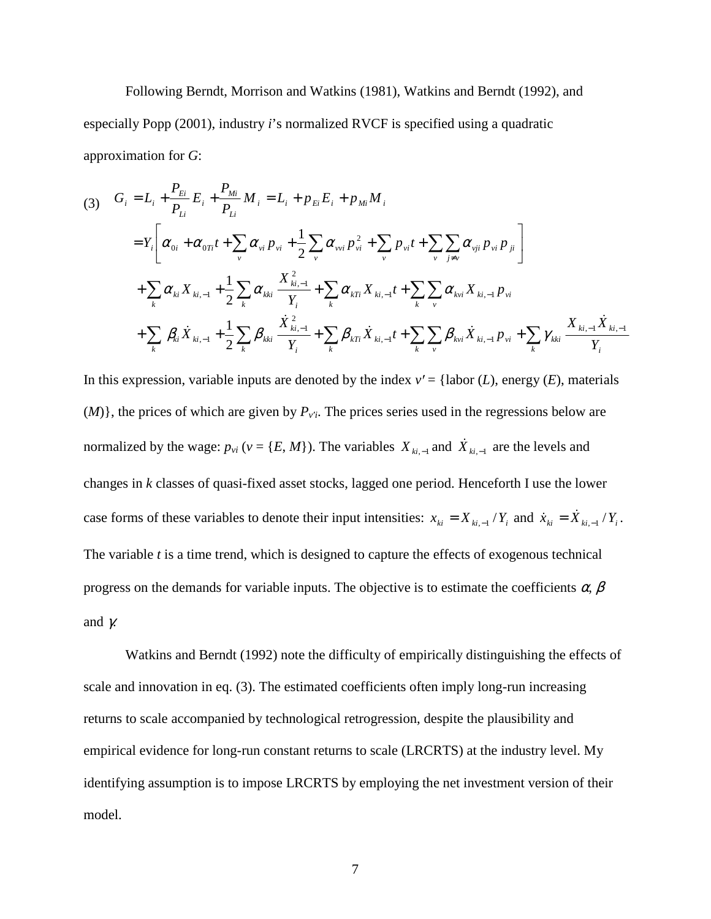Following Berndt, Morrison and Watkins (1981), Watkins and Berndt (1992), and especially Popp (2001), industry *i*'s normalized RVCF is specified using a quadratic approximation for *G*:

$$
(3) \quad G_{i} = L_{i} + \frac{P_{Ei}}{P_{Li}} E_{i} + \frac{P_{Mi}}{P_{Li}} M_{i} = L_{i} + p_{Ei} E_{i} + p_{Mi} M_{i}
$$
\n
$$
= Y_{i} \bigg[ \alpha_{0i} + \alpha_{0Ti} t + \sum_{v} \alpha_{vi} p_{vi} + \frac{1}{2} \sum_{v} \alpha_{vvi} p_{vi}^{2} + \sum_{v} p_{vi} t + \sum_{v} \sum_{j \neq v} \alpha_{vji} p_{vi} p_{ji} \bigg]
$$
\n
$$
+ \sum_{k} \alpha_{ki} X_{ki, -1} + \frac{1}{2} \sum_{k} \alpha_{kki} \frac{X_{ki, -1}^{2}}{Y_{i}} + \sum_{k} \alpha_{kTi} X_{ki, -1} t + \sum_{k} \sum_{v} \alpha_{kvi} X_{ki, -1} p_{vi}
$$
\n
$$
+ \sum_{k} \beta_{ki} \dot{X}_{ki, -1} + \frac{1}{2} \sum_{k} \beta_{kki} \frac{\dot{X}_{ki, -1}^{2}}{Y_{i}} + \sum_{k} \beta_{kTi} \dot{X}_{ki, -1} t + \sum_{k} \sum_{v} \beta_{kvi} \dot{X}_{ki, -1} p_{vi} + \sum_{k} \gamma_{kki} \frac{X_{ki, -1} \dot{X}_{ki, -1}}{Y_{i}}
$$

In this expression, variable inputs are denoted by the index  $v' = \{\text{labor } (L), \text{energy } (E), \text{ materials}\}$  $(M)$ }, the prices of which are given by  $P_{v'i}$ . The prices series used in the regressions below are normalized by the wage:  $p_{vi}$  ( $v = \{E, M\}$ ). The variables  $X_{ki, -1}$  and  $\dot{X}_{ki, -1}$  are the levels and changes in *k* classes of quasi-fixed asset stocks, lagged one period. Henceforth I use the lower case forms of these variables to denote their input intensities:  $x_{ki} = X_{ki-1}/Y_i$  and  $\dot{x}_{ki} = \dot{X}_{ki-1}/Y_i$ . The variable *t* is a time trend, which is designed to capture the effects of exogenous technical progress on the demands for variable inputs. The objective is to estimate the coefficients  $\alpha$ ,  $\beta$ and  $\gamma$ .

Watkins and Berndt (1992) note the difficulty of empirically distinguishing the effects of scale and innovation in eq. (3). The estimated coefficients often imply long-run increasing returns to scale accompanied by technological retrogression, despite the plausibility and empirical evidence for long-run constant returns to scale (LRCRTS) at the industry level. My identifying assumption is to impose LRCRTS by employing the net investment version of their model.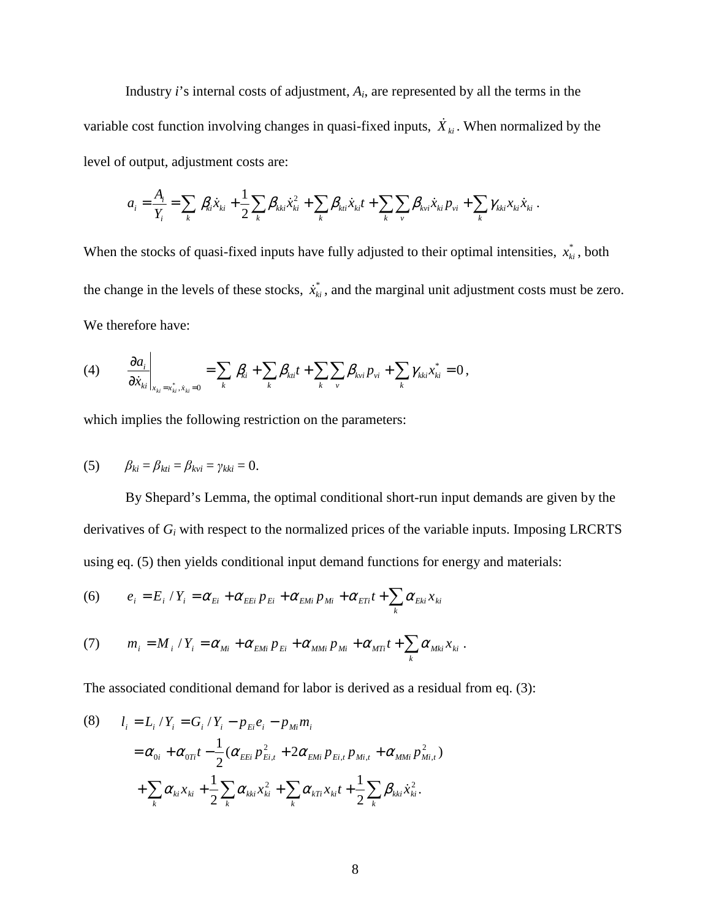Industry  $i$ 's internal costs of adjustment,  $A_i$ , are represented by all the terms in the variable cost function involving changes in quasi-fixed inputs,  $\dot{X}_{ki}$ . When normalized by the level of output, adjustment costs are:

$$
a_i = \frac{A_i}{Y_i} = \sum_k \beta_{ki} \dot{x}_{ki} + \frac{1}{2} \sum_k \beta_{kki} \dot{x}_{ki}^2 + \sum_k \beta_{kii} \dot{x}_{ki} t + \sum_k \sum_{\nu} \beta_{kvi} \dot{x}_{ki} p_{\nu i} + \sum_k \gamma_{kki} x_{ki} \dot{x}_{ki}.
$$

When the stocks of quasi-fixed inputs have fully adjusted to their optimal intensities,  $x_{ki}^*$ , both the change in the levels of these stocks,  $\dot{x}_{ki}^*$ , and the marginal unit adjustment costs must be zero. We therefore have:

(4) 
$$
\frac{\partial a_i}{\partial \dot{x}_{ki}}\Big|_{x_{ki}=x_{ki}^*,\dot{x}_{ki}=0} = \sum_k \beta_{ki} + \sum_k \beta_{ki}t + \sum_k \sum_{\nu} \beta_{k\nu i} p_{\nu i} + \sum_k \gamma_{kki} x_{ki}^* = 0,
$$

which implies the following restriction on the parameters:

(5) 
$$
\beta_{ki} = \beta_{kti} = \beta_{kvi} = \gamma_{kki} = 0.
$$

By Shepard's Lemma, the optimal conditional short-run input demands are given by the derivatives of  $G_i$  with respect to the normalized prices of the variable inputs. Imposing LRCRTS using eq. (5) then yields conditional input demand functions for energy and materials:

(6) 
$$
e_i = E_i / Y_i = \alpha_{E_i} + \alpha_{E_i} p_{E_i} + \alpha_{EM_i} p_{Mi} + \alpha_{ET_i} t + \sum_k \alpha_{Ek_i} x_{ki}
$$

(7) 
$$
m_i = M_i / Y_i = \alpha_{Mi} + \alpha_{EMi} p_{Ei} + \alpha_{MMi} p_{Mi} + \alpha_{MTi} t + \sum_k \alpha_{Mki} x_{ki}.
$$

The associated conditional demand for labor is derived as a residual from eq. (3):

(8) 
$$
l_{i} = L_{i} / Y_{i} = G_{i} / Y_{i} - p_{Ei}e_{i} - p_{Mi}m_{i}
$$

$$
= \alpha_{0i} + \alpha_{0Ti}t - \frac{1}{2}(\alpha_{EEi} p_{Ei,t}^{2} + 2\alpha_{EMi} p_{Ei,t} p_{Mi,t} + \alpha_{MMi} p_{Mi,t}^{2})
$$

$$
+ \sum_{k} \alpha_{ki}x_{ki} + \frac{1}{2} \sum_{k} \alpha_{kki} x_{ki}^{2} + \sum_{k} \alpha_{kTi} x_{ki}t + \frac{1}{2} \sum_{k} \beta_{kki} \dot{x}_{ki}^{2}.
$$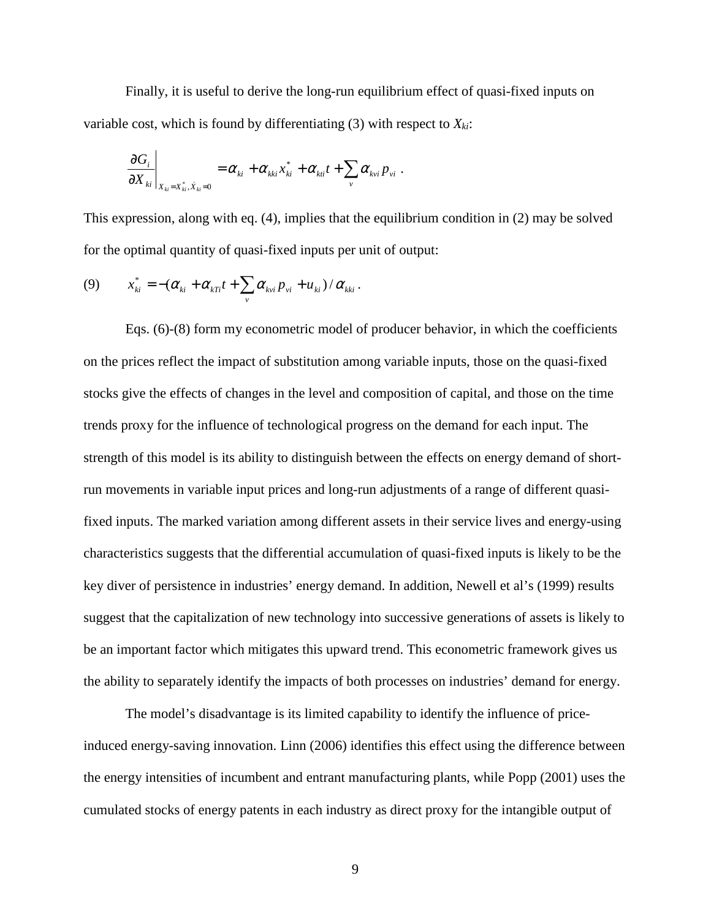Finally, it is useful to derive the long-run equilibrium effect of quasi-fixed inputs on variable cost, which is found by differentiating (3) with respect to  $X_{ki}$ :

$$
\left.\frac{\partial G_i}{\partial X_{ki}}\right|_{X_{ki}=X_{ki}^*,\dot{X}_{ki}=0}=\alpha_{ki}+\alpha_{kki}x_{ki}^*+\alpha_{ki}t+\sum_v\alpha_{kvi}p_{vi}.
$$

This expression, along with eq. (4), implies that the equilibrium condition in (2) may be solved for the optimal quantity of quasi-fixed inputs per unit of output:

$$
(9) \t x_{ki}^* = -(\alpha_{ki} + \alpha_{kTi}t + \sum_{v} \alpha_{kvi} p_{vi} + u_{ki})/\alpha_{kki}.
$$

Eqs. (6)-(8) form my econometric model of producer behavior, in which the coefficients on the prices reflect the impact of substitution among variable inputs, those on the quasi-fixed stocks give the effects of changes in the level and composition of capital, and those on the time trends proxy for the influence of technological progress on the demand for each input. The strength of this model is its ability to distinguish between the effects on energy demand of shortrun movements in variable input prices and long-run adjustments of a range of different quasifixed inputs. The marked variation among different assets in their service lives and energy-using characteristics suggests that the differential accumulation of quasi-fixed inputs is likely to be the key diver of persistence in industries' energy demand. In addition, Newell et al's (1999) results suggest that the capitalization of new technology into successive generations of assets is likely to be an important factor which mitigates this upward trend. This econometric framework gives us the ability to separately identify the impacts of both processes on industries' demand for energy.

The model's disadvantage is its limited capability to identify the influence of priceinduced energy-saving innovation. Linn (2006) identifies this effect using the difference between the energy intensities of incumbent and entrant manufacturing plants, while Popp (2001) uses the cumulated stocks of energy patents in each industry as direct proxy for the intangible output of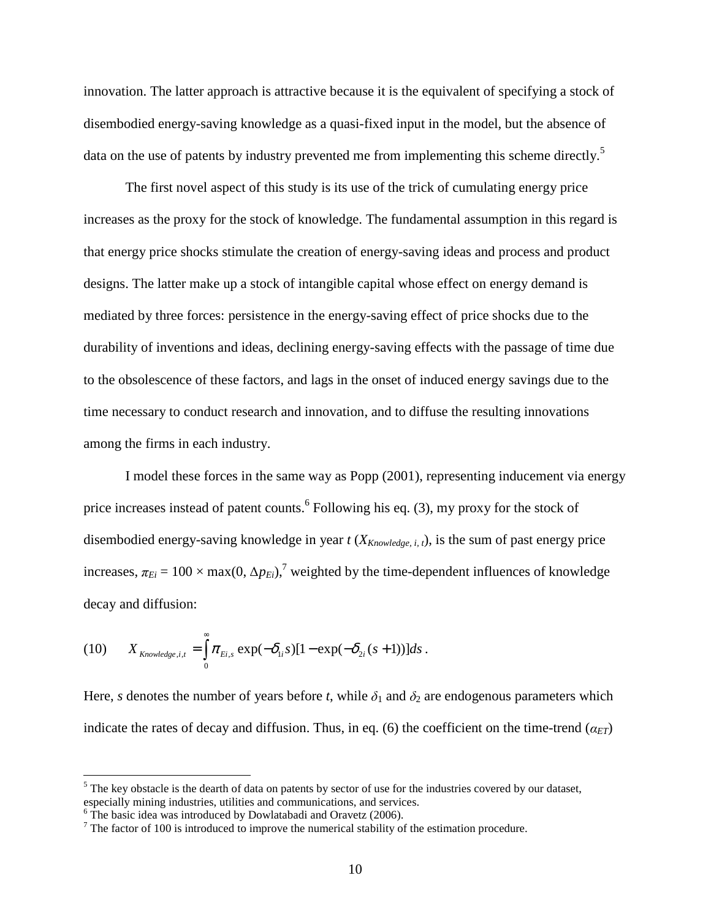innovation. The latter approach is attractive because it is the equivalent of specifying a stock of disembodied energy-saving knowledge as a quasi-fixed input in the model, but the absence of data on the use of patents by industry prevented me from implementing this scheme directly.<sup>5</sup>

The first novel aspect of this study is its use of the trick of cumulating energy price increases as the proxy for the stock of knowledge. The fundamental assumption in this regard is that energy price shocks stimulate the creation of energy-saving ideas and process and product designs. The latter make up a stock of intangible capital whose effect on energy demand is mediated by three forces: persistence in the energy-saving effect of price shocks due to the durability of inventions and ideas, declining energy-saving effects with the passage of time due to the obsolescence of these factors, and lags in the onset of induced energy savings due to the time necessary to conduct research and innovation, and to diffuse the resulting innovations among the firms in each industry.

I model these forces in the same way as Popp (2001), representing inducement via energy price increases instead of patent counts.<sup>6</sup> Following his eq. (3), my proxy for the stock of disembodied energy-saving knowledge in year *t* (*XKnowledge, i, t*), is the sum of past energy price increases,  $\pi_{E_i} = 100 \times \max(0, \Delta p_{E_i})$ ,<sup>7</sup> weighted by the time-dependent influences of knowledge decay and diffusion:

(10) 
$$
X_{\text{Knowledge},i,t} = \int_{0}^{\infty} \pi_{E i,s} \exp(-\delta_{1i} s)[1 - \exp(-\delta_{2i} (s+1))]ds.
$$

Here, *s* denotes the number of years before *t*, while  $\delta_1$  and  $\delta_2$  are endogenous parameters which indicate the rates of decay and diffusion. Thus, in eq. (6) the coefficient on the time-trend  $(a_{ET})$ 

 $<sup>5</sup>$  The key obstacle is the dearth of data on patents by sector of use for the industries covered by our dataset,</sup> especially mining industries, utilities and communications, and services. 6 The basic idea was introduced by Dowlatabadi and Oravetz (2006).

 $7$  The factor of 100 is introduced to improve the numerical stability of the estimation procedure.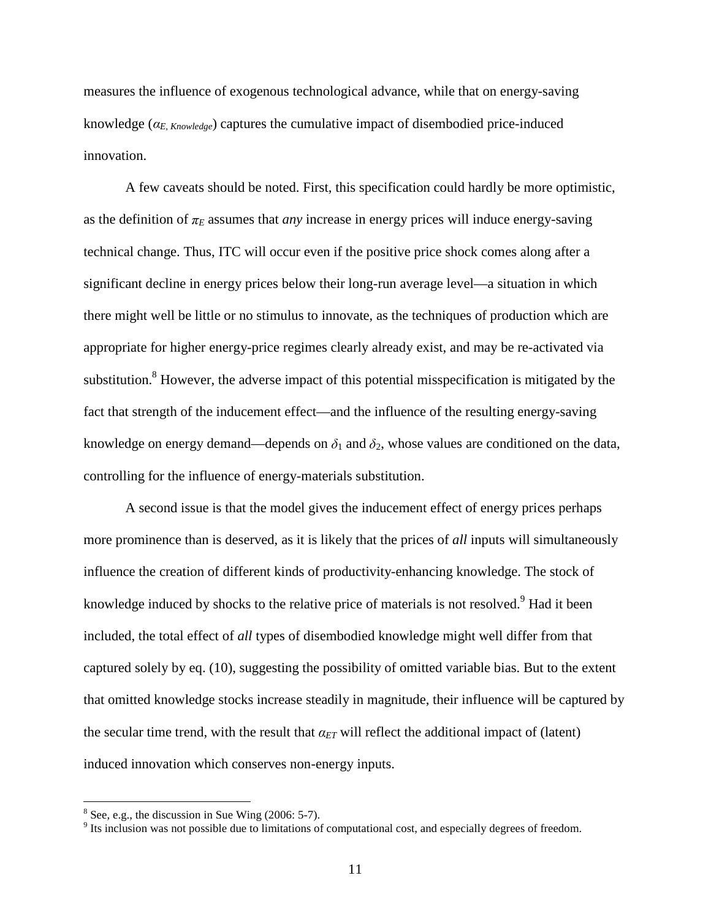measures the influence of exogenous technological advance, while that on energy-saving knowledge (α*E, Knowledge*) captures the cumulative impact of disembodied price-induced innovation.

A few caveats should be noted. First, this specification could hardly be more optimistic, as the definition of  $\pi_E$  assumes that *any* increase in energy prices will induce energy-saving technical change. Thus, ITC will occur even if the positive price shock comes along after a significant decline in energy prices below their long-run average level—a situation in which there might well be little or no stimulus to innovate, as the techniques of production which are appropriate for higher energy-price regimes clearly already exist, and may be re-activated via substitution.<sup>8</sup> However, the adverse impact of this potential misspecification is mitigated by the fact that strength of the inducement effect—and the influence of the resulting energy-saving knowledge on energy demand—depends on  $\delta_1$  and  $\delta_2$ , whose values are conditioned on the data, controlling for the influence of energy-materials substitution.

A second issue is that the model gives the inducement effect of energy prices perhaps more prominence than is deserved, as it is likely that the prices of *all* inputs will simultaneously influence the creation of different kinds of productivity-enhancing knowledge. The stock of knowledge induced by shocks to the relative price of materials is not resolved.<sup>9</sup> Had it been included, the total effect of *all* types of disembodied knowledge might well differ from that captured solely by eq. (10), suggesting the possibility of omitted variable bias. But to the extent that omitted knowledge stocks increase steadily in magnitude, their influence will be captured by the secular time trend, with the result that  $\alpha_{ET}$  will reflect the additional impact of (latent) induced innovation which conserves non-energy inputs.

 $8^8$  See, e.g., the discussion in Sue Wing (2006: 5-7).

<sup>&</sup>lt;sup>9</sup> Its inclusion was not possible due to limitations of computational cost, and especially degrees of freedom.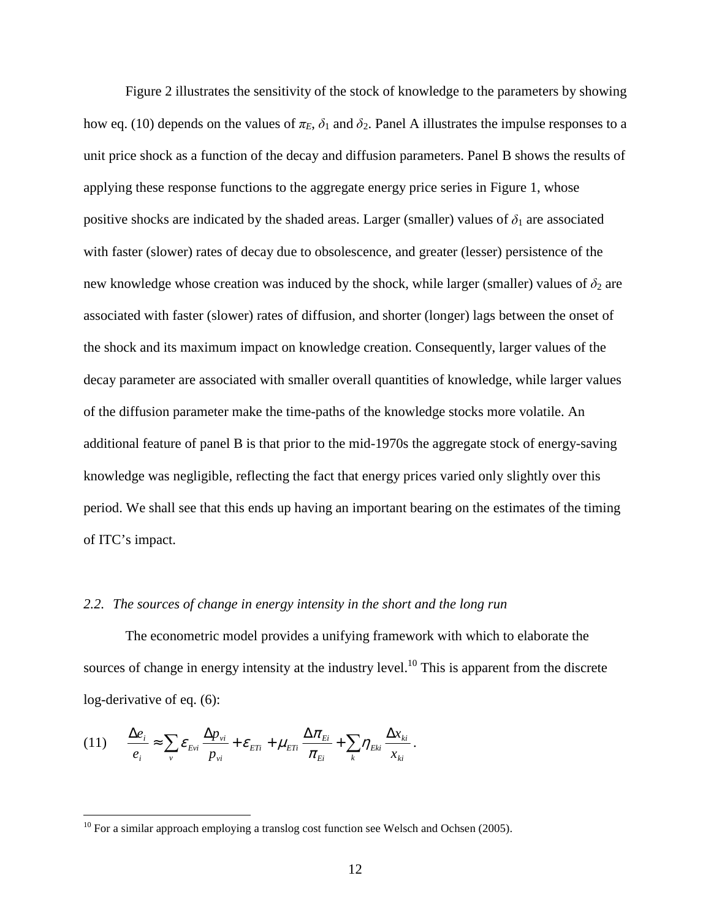Figure 2 illustrates the sensitivity of the stock of knowledge to the parameters by showing how eq. (10) depends on the values of  $\pi_E$ ,  $\delta_1$  and  $\delta_2$ . Panel A illustrates the impulse responses to a unit price shock as a function of the decay and diffusion parameters. Panel B shows the results of applying these response functions to the aggregate energy price series in Figure 1, whose positive shocks are indicated by the shaded areas. Larger (smaller) values of  $\delta_1$  are associated with faster (slower) rates of decay due to obsolescence, and greater (lesser) persistence of the new knowledge whose creation was induced by the shock, while larger (smaller) values of  $\delta_2$  are associated with faster (slower) rates of diffusion, and shorter (longer) lags between the onset of the shock and its maximum impact on knowledge creation. Consequently, larger values of the decay parameter are associated with smaller overall quantities of knowledge, while larger values of the diffusion parameter make the time-paths of the knowledge stocks more volatile. An additional feature of panel B is that prior to the mid-1970s the aggregate stock of energy-saving knowledge was negligible, reflecting the fact that energy prices varied only slightly over this period. We shall see that this ends up having an important bearing on the estimates of the timing of ITC's impact.

#### *2.2. The sources of change in energy intensity in the short and the long run*

The econometric model provides a unifying framework with which to elaborate the sources of change in energy intensity at the industry level.<sup>10</sup> This is apparent from the discrete log-derivative of eq. (6):

$$
(11) \qquad \frac{\Delta e_i}{e_i} \approx \sum_v \mathcal{E}_{Evi} \frac{\Delta p_{vi}}{p_{vi}} + \mathcal{E}_{ETi} + \mu_{ETi} \frac{\Delta \pi_{Ei}}{\pi_{Ei}} + \sum_k \eta_{Eki} \frac{\Delta x_{ki}}{x_{ki}}.
$$

 $10$  For a similar approach employing a translog cost function see Welsch and Ochsen (2005).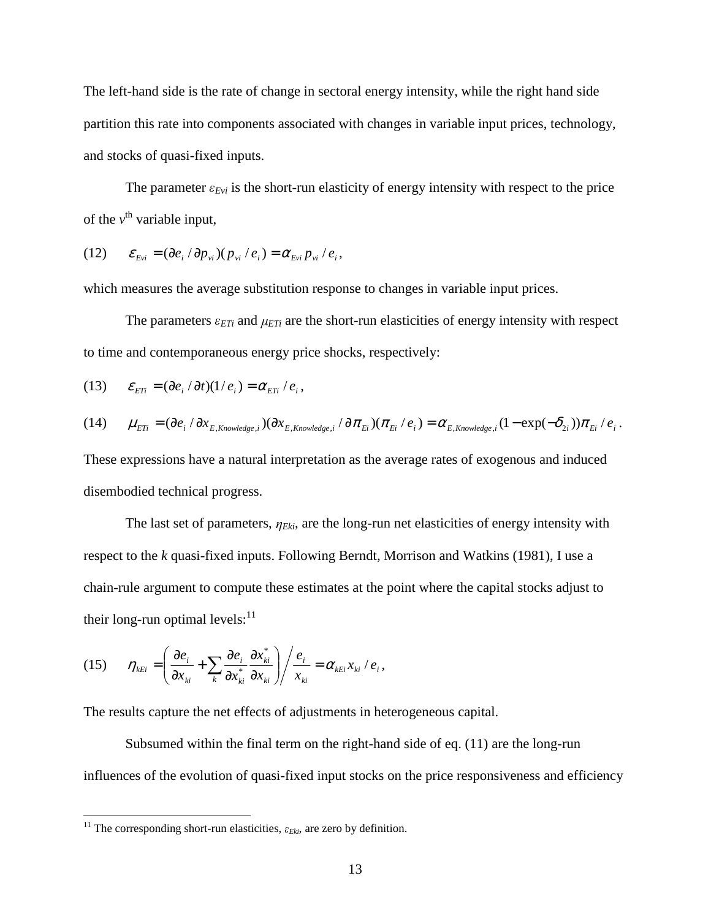The left-hand side is the rate of change in sectoral energy intensity, while the right hand side partition this rate into components associated with changes in variable input prices, technology, and stocks of quasi-fixed inputs.

The parameter  $\varepsilon_{Evi}$  is the short-run elasticity of energy intensity with respect to the price of the  $v^{\text{th}}$  variable input,

$$
(12) \qquad \varepsilon_{Evi} = (\partial e_i / \partial p_{vi})(p_{vi}/e_i) = \alpha_{Evi} p_{vi}/e_i,
$$

which measures the average substitution response to changes in variable input prices.

The parameters  $\varepsilon_{ETi}$  and  $\mu_{ETi}$  are the short-run elasticities of energy intensity with respect to time and contemporaneous energy price shocks, respectively:

(13) 
$$
\mathcal{E}_{ETi} = (\partial e_i / \partial t)(1/e_i) = \alpha_{ETi} / e_i,
$$

$$
(14) \qquad \mu_{\text{ETi}} = (\partial e_i / \partial x_{E, Knowledge, i})(\partial x_{E, Knowledge, i} / \partial \pi_{Ei})(\pi_{Ei} / e_i) = \alpha_{E, Knowledge, i}(1 - \exp(-\delta_{2i}))\pi_{Ei} / e_i.
$$

These expressions have a natural interpretation as the average rates of exogenous and induced disembodied technical progress.

The last set of parameters, <sup>η</sup> *Eki*, are the long-run net elasticities of energy intensity with respect to the *k* quasi-fixed inputs. Following Berndt, Morrison and Watkins (1981), I use a chain-rule argument to compute these estimates at the point where the capital stocks adjust to their long-run optimal levels: $^{11}$ 

$$
(15) \qquad \eta_{\scriptscriptstyle \text{E}ii} = \left( \frac{\partial e_i}{\partial x_{\scriptscriptstyle k i}} + \sum_k \frac{\partial e_i}{\partial x_{\scriptscriptstyle k i}^*} \frac{\partial x_{\scriptscriptstyle k i}^*}{\partial x_{\scriptscriptstyle k i}} \right) / \frac{e_i}{x_{\scriptscriptstyle k i}} = \alpha_{\scriptscriptstyle \text{E}ii} x_{\scriptscriptstyle k i} / e_i,
$$

The results capture the net effects of adjustments in heterogeneous capital.

Subsumed within the final term on the right-hand side of eq. (11) are the long-run influences of the evolution of quasi-fixed input stocks on the price responsiveness and efficiency

<sup>&</sup>lt;sup>11</sup> The corresponding short-run elasticities,  $\varepsilon_{Eki}$ , are zero by definition.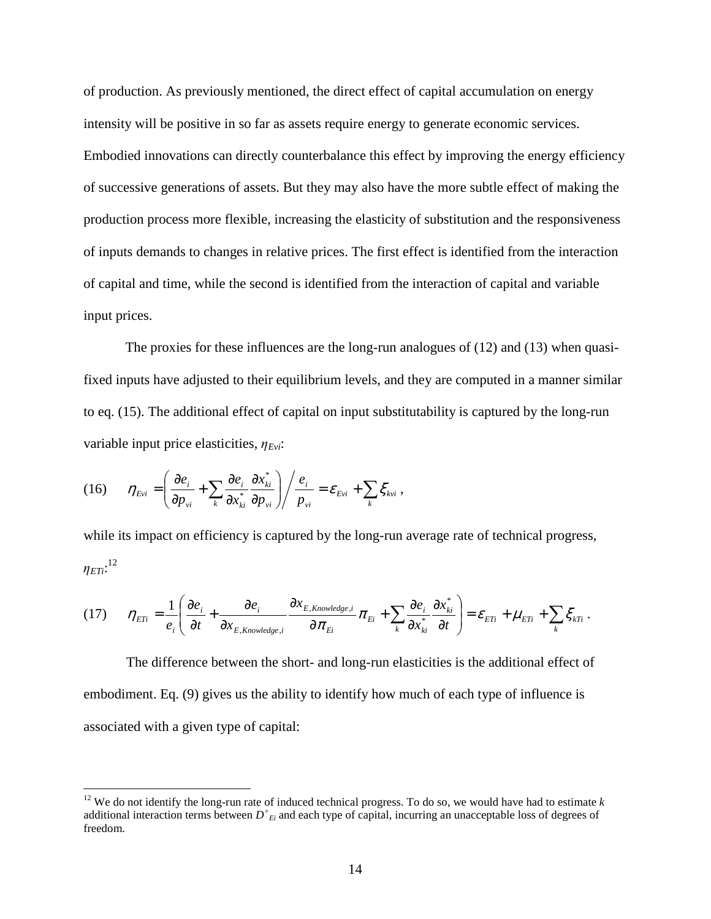of production. As previously mentioned, the direct effect of capital accumulation on energy intensity will be positive in so far as assets require energy to generate economic services. Embodied innovations can directly counterbalance this effect by improving the energy efficiency of successive generations of assets. But they may also have the more subtle effect of making the production process more flexible, increasing the elasticity of substitution and the responsiveness of inputs demands to changes in relative prices. The first effect is identified from the interaction of capital and time, while the second is identified from the interaction of capital and variable input prices.

The proxies for these influences are the long-run analogues of (12) and (13) when quasifixed inputs have adjusted to their equilibrium levels, and they are computed in a manner similar to eq. (15). The additional effect of capital on input substitutability is captured by the long-run variable input price elasticities, <sup>η</sup> *Evi*:

(16) 
$$
\eta_{Evi} = \left(\frac{\partial e_i}{\partial p_{vi}} + \sum_k \frac{\partial e_i}{\partial x_{ki}^*} \frac{\partial x_{ki}^*}{\partial p_{vi}}\right) / \frac{e_i}{p_{vi}} = \varepsilon_{Evi} + \sum_k \xi_{kvi},
$$

 $\overline{a}$ 

while its impact on efficiency is captured by the long-run average rate of technical progress, <sup>η</sup> *ETi*: 12

$$
(17) \qquad \eta_{ETi} = \frac{1}{e_i} \left( \frac{\partial e_i}{\partial t} + \frac{\partial e_i}{\partial x_{E, Knowledge,i}} \frac{\partial x_{E, Knowledge,i}}{\partial \pi_{Ei}} \pi_{Ei} + \sum_k \frac{\partial e_i}{\partial x_{ki}^*} \frac{\partial x_{ki}^*}{\partial t} \right) = \mathcal{E}_{ETi} + \mu_{ETi} + \sum_k \xi_{kTi}.
$$

 The difference between the short- and long-run elasticities is the additional effect of embodiment. Eq. (9) gives us the ability to identify how much of each type of influence is associated with a given type of capital:

<sup>&</sup>lt;sup>12</sup> We do not identify the long-run rate of induced technical progress. To do so, we would have had to estimate  $k$ additional interaction terms between *D + Ei* and each type of capital, incurring an unacceptable loss of degrees of freedom.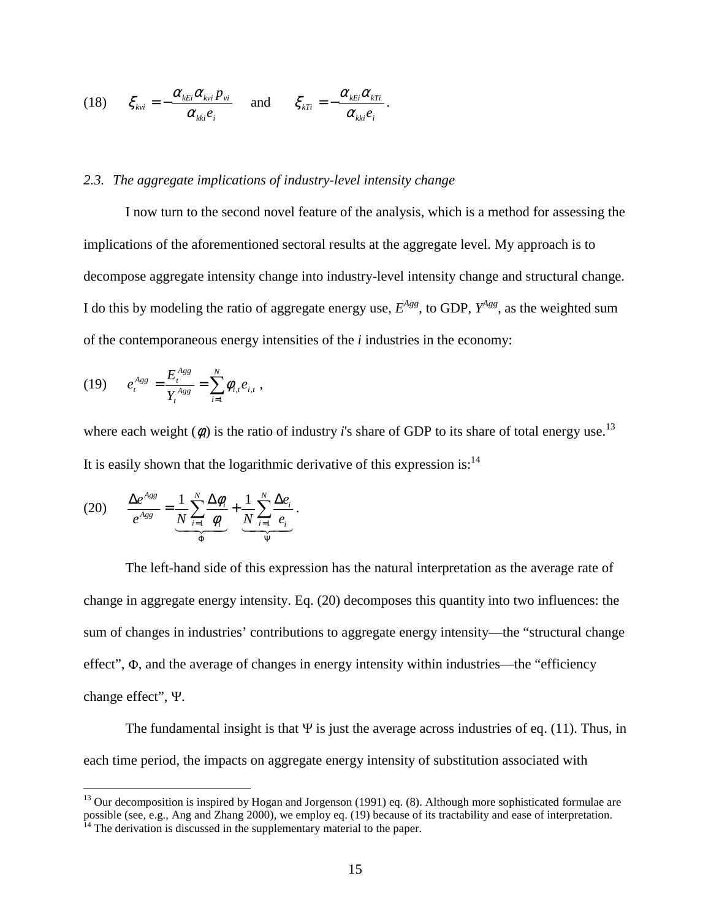(18) 
$$
\xi_{kvi} = -\frac{\alpha_{kEi} \alpha_{kvi} p_{vi}}{\alpha_{kki} e_i} \quad \text{and} \quad \xi_{kTi} = -\frac{\alpha_{kEi} \alpha_{kTi}}{\alpha_{kki} e_i}.
$$

#### *2.3. The aggregate implications of industry-level intensity change*

I now turn to the second novel feature of the analysis, which is a method for assessing the implications of the aforementioned sectoral results at the aggregate level. My approach is to decompose aggregate intensity change into industry-level intensity change and structural change. I do this by modeling the ratio of aggregate energy use,  $E^{Agg}$ , to GDP,  $Y^{Agg}$ , as the weighted sum of the contemporaneous energy intensities of the *i* industries in the economy:

$$
(19) \qquad e_t^{Agg} = \frac{E_t^{Agg}}{Y_t^{Agg}} = \sum_{i=1}^N \phi_{i,t} e_{i,t} ,
$$

where each weight  $(\phi)$  is the ratio of industry *i*'s share of GDP to its share of total energy use.<sup>13</sup> It is easily shown that the logarithmic derivative of this expression is:  $14$ 

(20) 
$$
\frac{\Delta e^{Ags}}{e^{Ags}} = \underbrace{\frac{1}{N} \sum_{i=1}^{N} \frac{\Delta \phi_i}{\phi_i}}_{\Phi} + \underbrace{\frac{1}{N} \sum_{i=1}^{N} \frac{\Delta e_i}{e_i}}_{\Psi}.
$$

 $\overline{a}$ 

The left-hand side of this expression has the natural interpretation as the average rate of change in aggregate energy intensity. Eq. (20) decomposes this quantity into two influences: the sum of changes in industries' contributions to aggregate energy intensity—the "structural change effect", Φ, and the average of changes in energy intensity within industries—the "efficiency change effect", Ψ.

The fundamental insight is that  $\Psi$  is just the average across industries of eq. (11). Thus, in each time period, the impacts on aggregate energy intensity of substitution associated with

<sup>&</sup>lt;sup>13</sup> Our decomposition is inspired by Hogan and Jorgenson (1991) eq. (8). Although more sophisticated formulae are possible (see, e.g., Ang and Zhang 2000), we employ eq. (19) because of its tractability and ease of interpretation.

 $14$  The derivation is discussed in the supplementary material to the paper.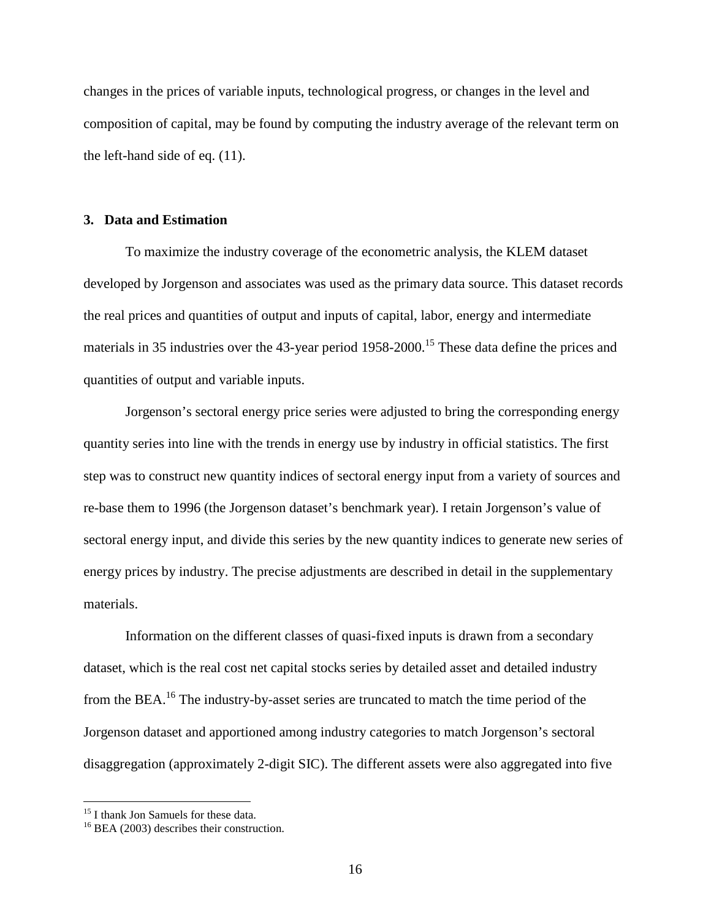changes in the prices of variable inputs, technological progress, or changes in the level and composition of capital, may be found by computing the industry average of the relevant term on the left-hand side of eq. (11).

#### **3. Data and Estimation**

To maximize the industry coverage of the econometric analysis, the KLEM dataset developed by Jorgenson and associates was used as the primary data source. This dataset records the real prices and quantities of output and inputs of capital, labor, energy and intermediate materials in 35 industries over the 43-year period 1958-2000.<sup>15</sup> These data define the prices and quantities of output and variable inputs.

Jorgenson's sectoral energy price series were adjusted to bring the corresponding energy quantity series into line with the trends in energy use by industry in official statistics. The first step was to construct new quantity indices of sectoral energy input from a variety of sources and re-base them to 1996 (the Jorgenson dataset's benchmark year). I retain Jorgenson's value of sectoral energy input, and divide this series by the new quantity indices to generate new series of energy prices by industry. The precise adjustments are described in detail in the supplementary materials.

Information on the different classes of quasi-fixed inputs is drawn from a secondary dataset, which is the real cost net capital stocks series by detailed asset and detailed industry from the BEA.<sup>16</sup> The industry-by-asset series are truncated to match the time period of the Jorgenson dataset and apportioned among industry categories to match Jorgenson's sectoral disaggregation (approximately 2-digit SIC). The different assets were also aggregated into five

<sup>&</sup>lt;sup>15</sup> I thank Jon Samuels for these data.

<sup>&</sup>lt;sup>16</sup> BEA (2003) describes their construction.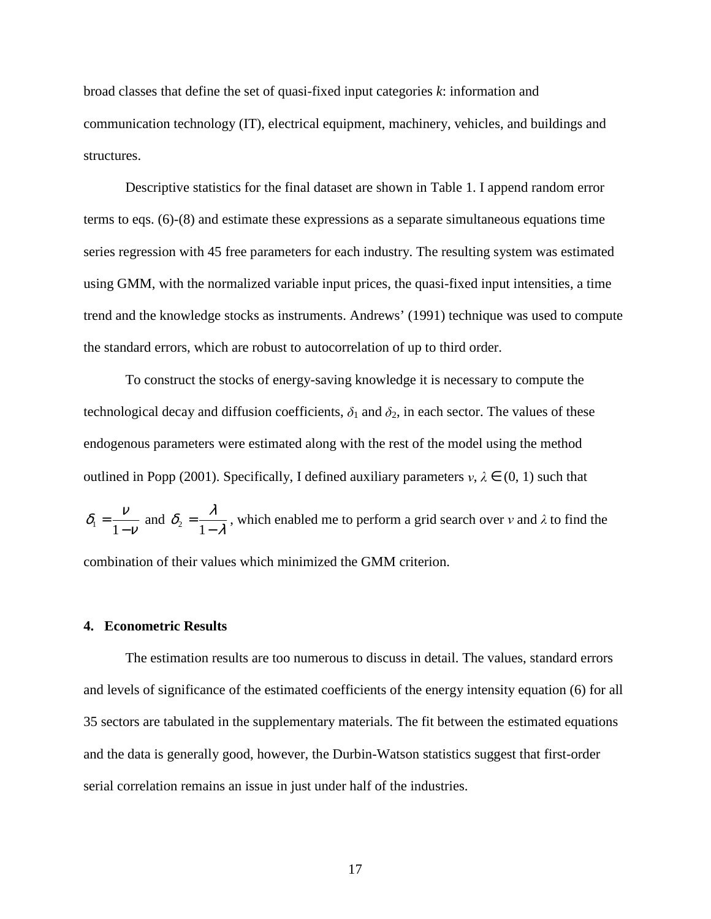broad classes that define the set of quasi-fixed input categories *k*: information and communication technology (IT), electrical equipment, machinery, vehicles, and buildings and structures.

Descriptive statistics for the final dataset are shown in Table 1. I append random error terms to eqs. (6)-(8) and estimate these expressions as a separate simultaneous equations time series regression with 45 free parameters for each industry. The resulting system was estimated using GMM, with the normalized variable input prices, the quasi-fixed input intensities, a time trend and the knowledge stocks as instruments. Andrews' (1991) technique was used to compute the standard errors, which are robust to autocorrelation of up to third order.

To construct the stocks of energy-saving knowledge it is necessary to compute the technological decay and diffusion coefficients,  $\delta_1$  and  $\delta_2$ , in each sector. The values of these endogenous parameters were estimated along with the rest of the model using the method outlined in Popp (2001). Specifically, I defined auxiliary parameters  $v, \lambda \in (0, 1)$  such that ν  $\delta = \frac{V}{\sqrt{2}}$ − =  $\sum_{1}^{1} = \frac{V}{1-V}$  and  $\delta_2 = \frac{R}{1-\lambda}$  $\delta_{\circ} = \frac{\lambda}{\sqrt{\lambda}}$ − =  $\sum_{i=1}^{\infty}$  =  $\frac{n}{1-\lambda}$ , which enabled me to perform a grid search over v and  $\lambda$  to find the combination of their values which minimized the GMM criterion.

### **4. Econometric Results**

The estimation results are too numerous to discuss in detail. The values, standard errors and levels of significance of the estimated coefficients of the energy intensity equation (6) for all 35 sectors are tabulated in the supplementary materials. The fit between the estimated equations and the data is generally good, however, the Durbin-Watson statistics suggest that first-order serial correlation remains an issue in just under half of the industries.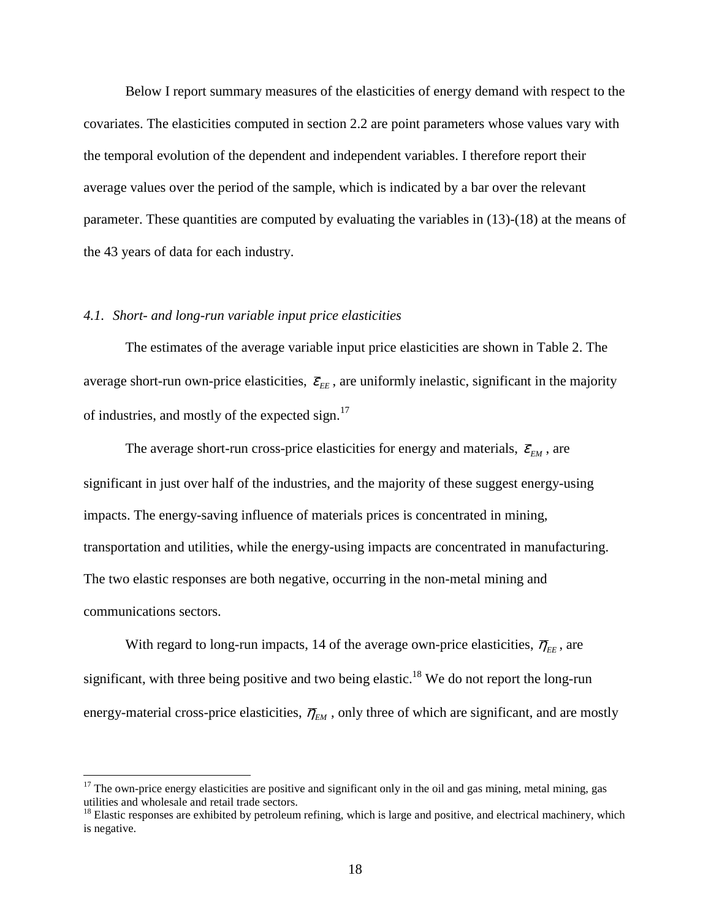Below I report summary measures of the elasticities of energy demand with respect to the covariates. The elasticities computed in section 2.2 are point parameters whose values vary with the temporal evolution of the dependent and independent variables. I therefore report their average values over the period of the sample, which is indicated by a bar over the relevant parameter. These quantities are computed by evaluating the variables in (13)-(18) at the means of the 43 years of data for each industry.

#### *4.1. Short- and long-run variable input price elasticities*

 $\overline{a}$ 

The estimates of the average variable input price elasticities are shown in Table 2. The average short-run own-price elasticities,  $\bar{\varepsilon}_{EE}$ , are uniformly inelastic, significant in the majority of industries, and mostly of the expected sign. $^{17}$ 

The average short-run cross-price elasticities for energy and materials,  $\bar{\mathcal{E}}_{EM}$ , are significant in just over half of the industries, and the majority of these suggest energy-using impacts. The energy-saving influence of materials prices is concentrated in mining, transportation and utilities, while the energy-using impacts are concentrated in manufacturing. The two elastic responses are both negative, occurring in the non-metal mining and communications sectors.

With regard to long-run impacts, 14 of the average own-price elasticities,  $\bar{\eta}_{\scriptscriptstyle EE}$ , are significant, with three being positive and two being elastic.<sup>18</sup> We do not report the long-run energy-material cross-price elasticities,  $\overline{\eta}_{EM}$ , only three of which are significant, and are mostly

 $17$  The own-price energy elasticities are positive and significant only in the oil and gas mining, metal mining, gas utilities and wholesale and retail trade sectors.

<sup>&</sup>lt;sup>18</sup> Elastic responses are exhibited by petroleum refining, which is large and positive, and electrical machinery, which is negative.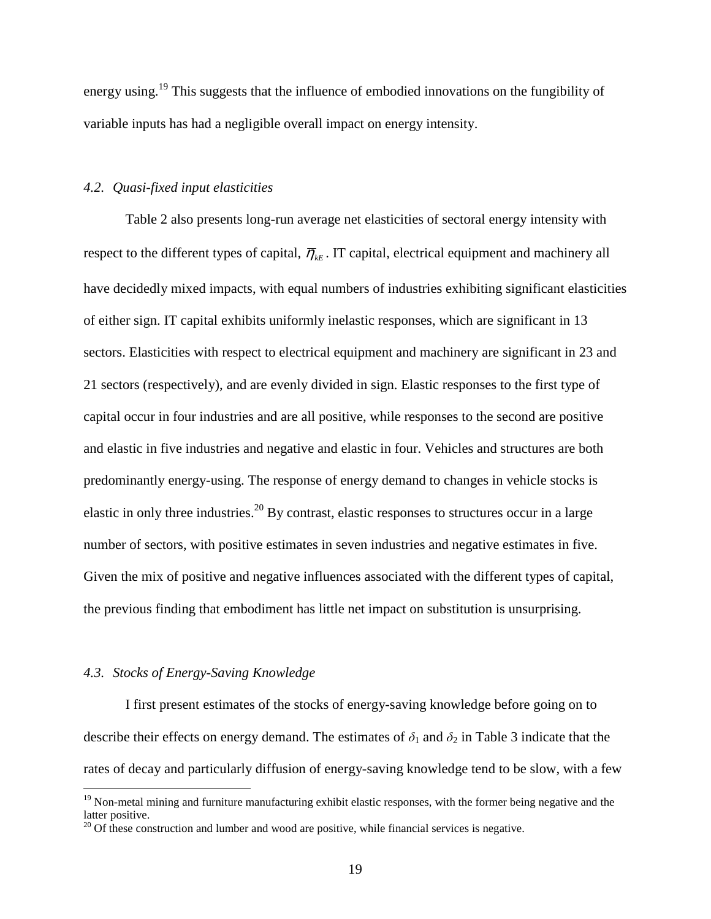energy using.<sup>19</sup> This suggests that the influence of embodied innovations on the fungibility of variable inputs has had a negligible overall impact on energy intensity.

### *4.2. Quasi-fixed input elasticities*

Table 2 also presents long-run average net elasticities of sectoral energy intensity with respect to the different types of capital,  $\overline{\eta}_{kE}$ . IT capital, electrical equipment and machinery all have decidedly mixed impacts, with equal numbers of industries exhibiting significant elasticities of either sign. IT capital exhibits uniformly inelastic responses, which are significant in 13 sectors. Elasticities with respect to electrical equipment and machinery are significant in 23 and 21 sectors (respectively), and are evenly divided in sign. Elastic responses to the first type of capital occur in four industries and are all positive, while responses to the second are positive and elastic in five industries and negative and elastic in four. Vehicles and structures are both predominantly energy-using. The response of energy demand to changes in vehicle stocks is elastic in only three industries.<sup>20</sup> By contrast, elastic responses to structures occur in a large number of sectors, with positive estimates in seven industries and negative estimates in five. Given the mix of positive and negative influences associated with the different types of capital, the previous finding that embodiment has little net impact on substitution is unsurprising.

### *4.3. Stocks of Energy-Saving Knowledge*

 $\overline{a}$ 

I first present estimates of the stocks of energy-saving knowledge before going on to describe their effects on energy demand. The estimates of  $\delta_1$  and  $\delta_2$  in Table 3 indicate that the rates of decay and particularly diffusion of energy-saving knowledge tend to be slow, with a few

 $19$  Non-metal mining and furniture manufacturing exhibit elastic responses, with the former being negative and the latter positive.

 $20$  Of these construction and lumber and wood are positive, while financial services is negative.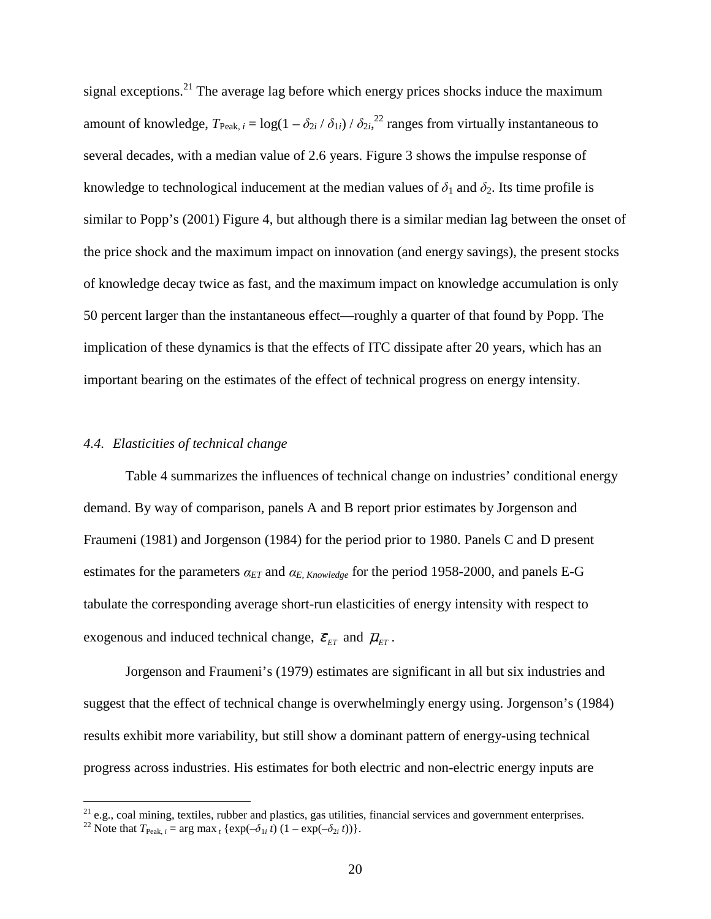signal exceptions.<sup>21</sup> The average lag before which energy prices shocks induce the maximum amount of knowledge,  $T_{\text{Peak}, i} = \log(1 - \delta_{2i} / \delta_{1i}) / \delta_{2i}$ ,  $^{22}$  ranges from virtually instantaneous to several decades, with a median value of 2.6 years. Figure 3 shows the impulse response of knowledge to technological inducement at the median values of  $\delta_1$  and  $\delta_2$ . Its time profile is similar to Popp's (2001) Figure 4, but although there is a similar median lag between the onset of the price shock and the maximum impact on innovation (and energy savings), the present stocks of knowledge decay twice as fast, and the maximum impact on knowledge accumulation is only 50 percent larger than the instantaneous effect—roughly a quarter of that found by Popp. The implication of these dynamics is that the effects of ITC dissipate after 20 years, which has an important bearing on the estimates of the effect of technical progress on energy intensity.

### *4.4. Elasticities of technical change*

Table 4 summarizes the influences of technical change on industries' conditional energy demand. By way of comparison, panels A and B report prior estimates by Jorgenson and Fraumeni (1981) and Jorgenson (1984) for the period prior to 1980. Panels C and D present estimates for the parameters  $\alpha_{ET}$  and  $\alpha_{E, Knowledge}$  for the period 1958-2000, and panels E-G tabulate the corresponding average short-run elasticities of energy intensity with respect to exogenous and induced technical change,  $\bar{\varepsilon}_{ET}$  and  $\bar{\mu}_{ET}$ .

Jorgenson and Fraumeni's (1979) estimates are significant in all but six industries and suggest that the effect of technical change is overwhelmingly energy using. Jorgenson's (1984) results exhibit more variability, but still show a dominant pattern of energy-using technical progress across industries. His estimates for both electric and non-electric energy inputs are

 $21$  e.g., coal mining, textiles, rubber and plastics, gas utilities, financial services and government enterprises.

<sup>&</sup>lt;sup>22</sup> Note that  $T_{\text{Peak}, i} = \arg \max_{t} \{ \exp(-\delta_{1i} t) (1 - \exp(-\delta_{2i} t)) \}.$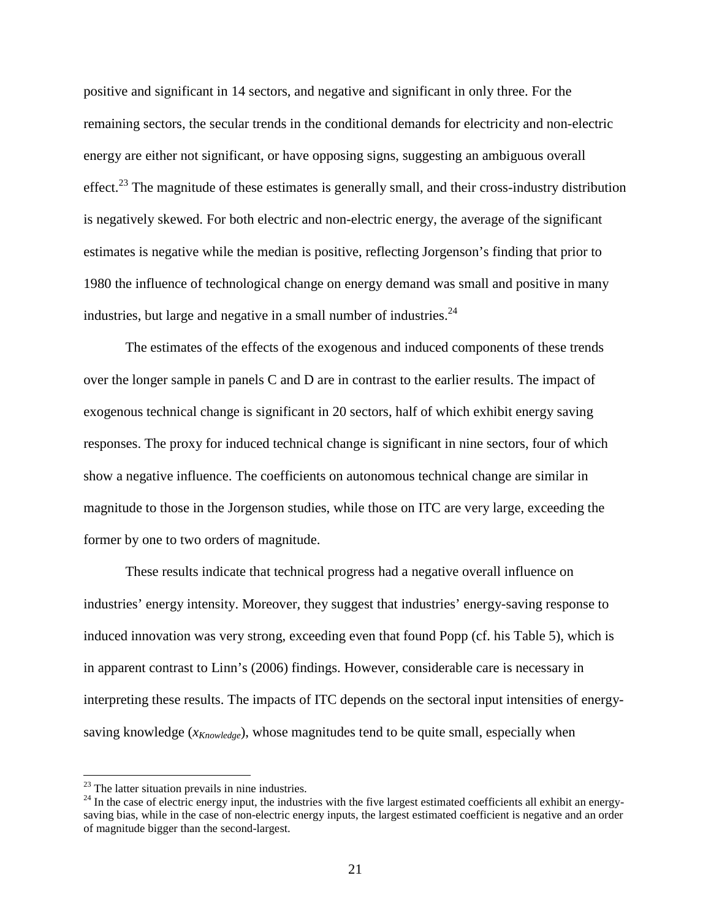positive and significant in 14 sectors, and negative and significant in only three. For the remaining sectors, the secular trends in the conditional demands for electricity and non-electric energy are either not significant, or have opposing signs, suggesting an ambiguous overall effect.<sup>23</sup> The magnitude of these estimates is generally small, and their cross-industry distribution is negatively skewed. For both electric and non-electric energy, the average of the significant estimates is negative while the median is positive, reflecting Jorgenson's finding that prior to 1980 the influence of technological change on energy demand was small and positive in many industries, but large and negative in a small number of industries.  $24$ 

The estimates of the effects of the exogenous and induced components of these trends over the longer sample in panels C and D are in contrast to the earlier results. The impact of exogenous technical change is significant in 20 sectors, half of which exhibit energy saving responses. The proxy for induced technical change is significant in nine sectors, four of which show a negative influence. The coefficients on autonomous technical change are similar in magnitude to those in the Jorgenson studies, while those on ITC are very large, exceeding the former by one to two orders of magnitude.

These results indicate that technical progress had a negative overall influence on industries' energy intensity. Moreover, they suggest that industries' energy-saving response to induced innovation was very strong, exceeding even that found Popp (cf. his Table 5), which is in apparent contrast to Linn's (2006) findings. However, considerable care is necessary in interpreting these results. The impacts of ITC depends on the sectoral input intensities of energysaving knowledge (*xKnowledge*), whose magnitudes tend to be quite small, especially when

 $23$  The latter situation prevails in nine industries.

 $24$  In the case of electric energy input, the industries with the five largest estimated coefficients all exhibit an energysaving bias, while in the case of non-electric energy inputs, the largest estimated coefficient is negative and an order of magnitude bigger than the second-largest.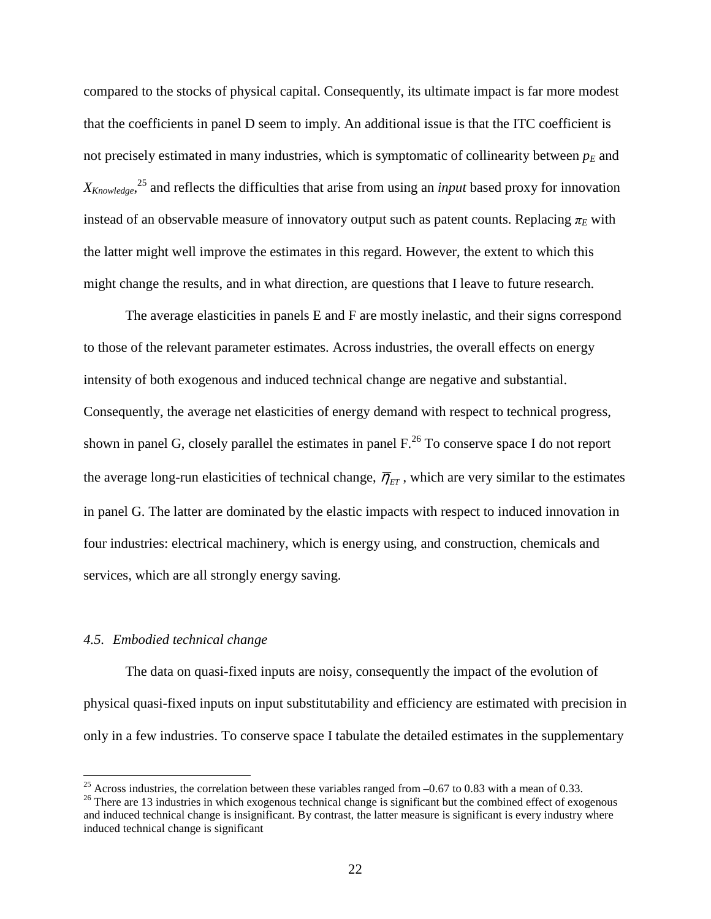compared to the stocks of physical capital. Consequently, its ultimate impact is far more modest that the coefficients in panel D seem to imply. An additional issue is that the ITC coefficient is not precisely estimated in many industries, which is symptomatic of collinearity between  $p<sub>E</sub>$  and *XKnowledge*, <sup>25</sup> and reflects the difficulties that arise from using an *input* based proxy for innovation instead of an observable measure of innovatory output such as patent counts. Replacing  $\pi_E$  with the latter might well improve the estimates in this regard. However, the extent to which this might change the results, and in what direction, are questions that I leave to future research.

The average elasticities in panels E and F are mostly inelastic, and their signs correspond to those of the relevant parameter estimates. Across industries, the overall effects on energy intensity of both exogenous and induced technical change are negative and substantial. Consequently, the average net elasticities of energy demand with respect to technical progress, shown in panel G, closely parallel the estimates in panel  $F<sup>26</sup>$  To conserve space I do not report the average long-run elasticities of technical change,  $\overline{\eta}_{ET}$ , which are very similar to the estimates in panel G. The latter are dominated by the elastic impacts with respect to induced innovation in four industries: electrical machinery, which is energy using, and construction, chemicals and services, which are all strongly energy saving.

### *4.5. Embodied technical change*

 $\overline{a}$ 

The data on quasi-fixed inputs are noisy, consequently the impact of the evolution of physical quasi-fixed inputs on input substitutability and efficiency are estimated with precision in only in a few industries. To conserve space I tabulate the detailed estimates in the supplementary

<sup>&</sup>lt;sup>25</sup> Across industries, the correlation between these variables ranged from  $-0.67$  to 0.83 with a mean of 0.33.

<sup>&</sup>lt;sup>26</sup> There are 13 industries in which exogenous technical change is significant but the combined effect of exogenous and induced technical change is insignificant. By contrast, the latter measure is significant is every industry where induced technical change is significant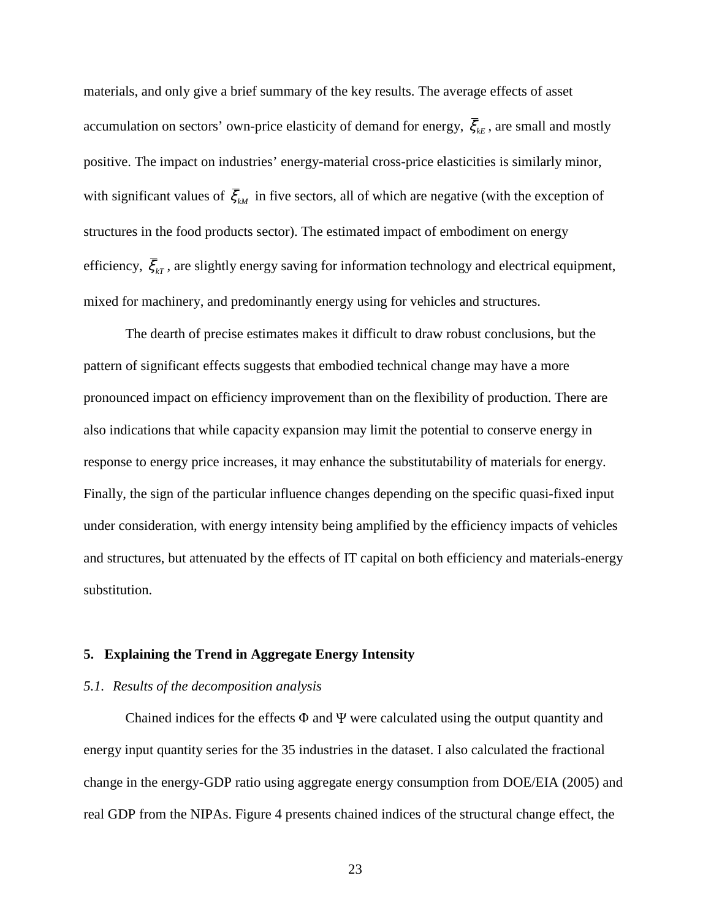materials, and only give a brief summary of the key results. The average effects of asset accumulation on sectors' own-price elasticity of demand for energy,  $\bar{\xi}_{k}$ , are small and mostly positive. The impact on industries' energy-material cross-price elasticities is similarly minor, with significant values of  $\bar{\xi}_{M}$  in five sectors, all of which are negative (with the exception of structures in the food products sector). The estimated impact of embodiment on energy efficiency,  $\bar{\xi}_{kT}$ , are slightly energy saving for information technology and electrical equipment, mixed for machinery, and predominantly energy using for vehicles and structures.

The dearth of precise estimates makes it difficult to draw robust conclusions, but the pattern of significant effects suggests that embodied technical change may have a more pronounced impact on efficiency improvement than on the flexibility of production. There are also indications that while capacity expansion may limit the potential to conserve energy in response to energy price increases, it may enhance the substitutability of materials for energy. Finally, the sign of the particular influence changes depending on the specific quasi-fixed input under consideration, with energy intensity being amplified by the efficiency impacts of vehicles and structures, but attenuated by the effects of IT capital on both efficiency and materials-energy substitution.

#### **5. Explaining the Trend in Aggregate Energy Intensity**

### *5.1. Results of the decomposition analysis*

Chained indices for the effects  $\Phi$  and  $\Psi$  were calculated using the output quantity and energy input quantity series for the 35 industries in the dataset. I also calculated the fractional change in the energy-GDP ratio using aggregate energy consumption from DOE/EIA (2005) and real GDP from the NIPAs. Figure 4 presents chained indices of the structural change effect, the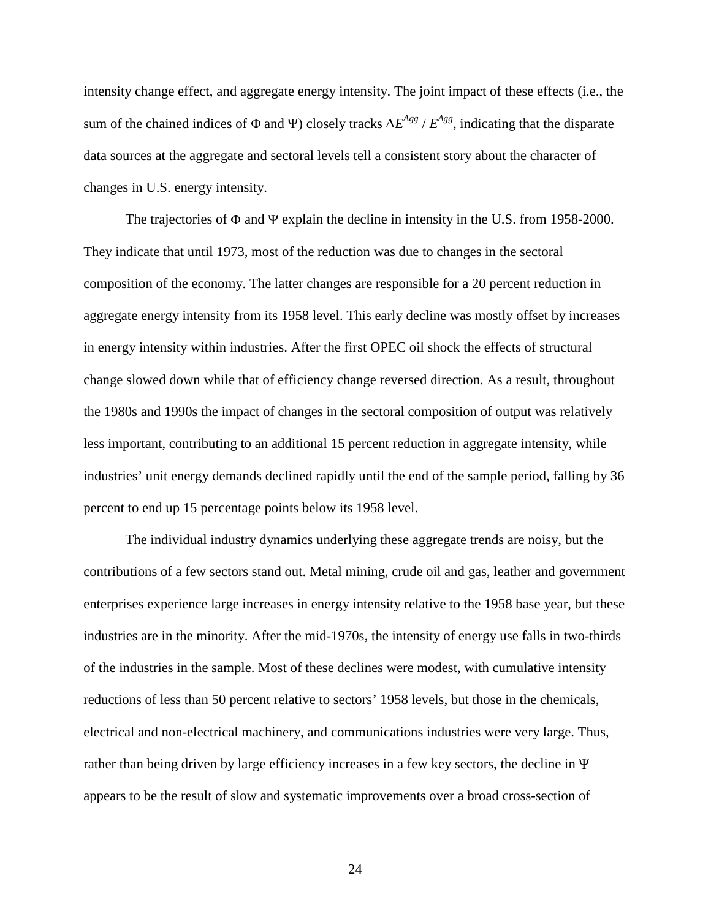intensity change effect, and aggregate energy intensity. The joint impact of these effects (i.e., the sum of the chained indices of  $\Phi$  and  $\Psi$ ) closely tracks  $\Delta E^{Agg}$  /  $E^{Agg}$ , indicating that the disparate data sources at the aggregate and sectoral levels tell a consistent story about the character of changes in U.S. energy intensity.

The trajectories of Φ and Ψ explain the decline in intensity in the U.S. from 1958-2000. They indicate that until 1973, most of the reduction was due to changes in the sectoral composition of the economy. The latter changes are responsible for a 20 percent reduction in aggregate energy intensity from its 1958 level. This early decline was mostly offset by increases in energy intensity within industries. After the first OPEC oil shock the effects of structural change slowed down while that of efficiency change reversed direction. As a result, throughout the 1980s and 1990s the impact of changes in the sectoral composition of output was relatively less important, contributing to an additional 15 percent reduction in aggregate intensity, while industries' unit energy demands declined rapidly until the end of the sample period, falling by 36 percent to end up 15 percentage points below its 1958 level.

The individual industry dynamics underlying these aggregate trends are noisy, but the contributions of a few sectors stand out. Metal mining, crude oil and gas, leather and government enterprises experience large increases in energy intensity relative to the 1958 base year, but these industries are in the minority. After the mid-1970s, the intensity of energy use falls in two-thirds of the industries in the sample. Most of these declines were modest, with cumulative intensity reductions of less than 50 percent relative to sectors' 1958 levels, but those in the chemicals, electrical and non-electrical machinery, and communications industries were very large. Thus, rather than being driven by large efficiency increases in a few key sectors, the decline in <sup>Ψ</sup> appears to be the result of slow and systematic improvements over a broad cross-section of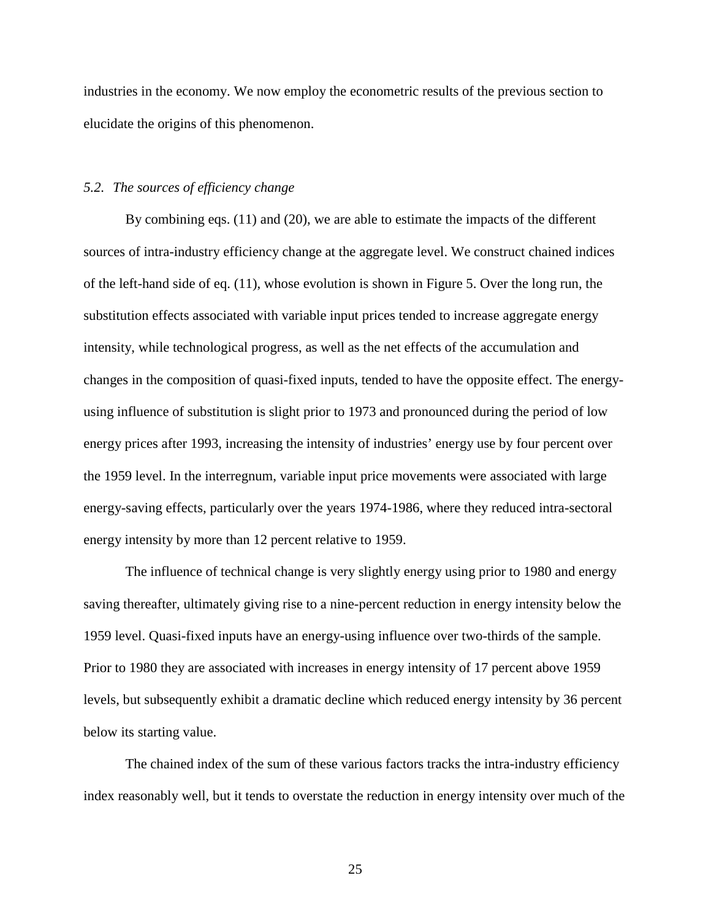industries in the economy. We now employ the econometric results of the previous section to elucidate the origins of this phenomenon.

### *5.2. The sources of efficiency change*

By combining eqs. (11) and (20), we are able to estimate the impacts of the different sources of intra-industry efficiency change at the aggregate level. We construct chained indices of the left-hand side of eq. (11), whose evolution is shown in Figure 5. Over the long run, the substitution effects associated with variable input prices tended to increase aggregate energy intensity, while technological progress, as well as the net effects of the accumulation and changes in the composition of quasi-fixed inputs, tended to have the opposite effect. The energyusing influence of substitution is slight prior to 1973 and pronounced during the period of low energy prices after 1993, increasing the intensity of industries' energy use by four percent over the 1959 level. In the interregnum, variable input price movements were associated with large energy-saving effects, particularly over the years 1974-1986, where they reduced intra-sectoral energy intensity by more than 12 percent relative to 1959.

The influence of technical change is very slightly energy using prior to 1980 and energy saving thereafter, ultimately giving rise to a nine-percent reduction in energy intensity below the 1959 level. Quasi-fixed inputs have an energy-using influence over two-thirds of the sample. Prior to 1980 they are associated with increases in energy intensity of 17 percent above 1959 levels, but subsequently exhibit a dramatic decline which reduced energy intensity by 36 percent below its starting value.

The chained index of the sum of these various factors tracks the intra-industry efficiency index reasonably well, but it tends to overstate the reduction in energy intensity over much of the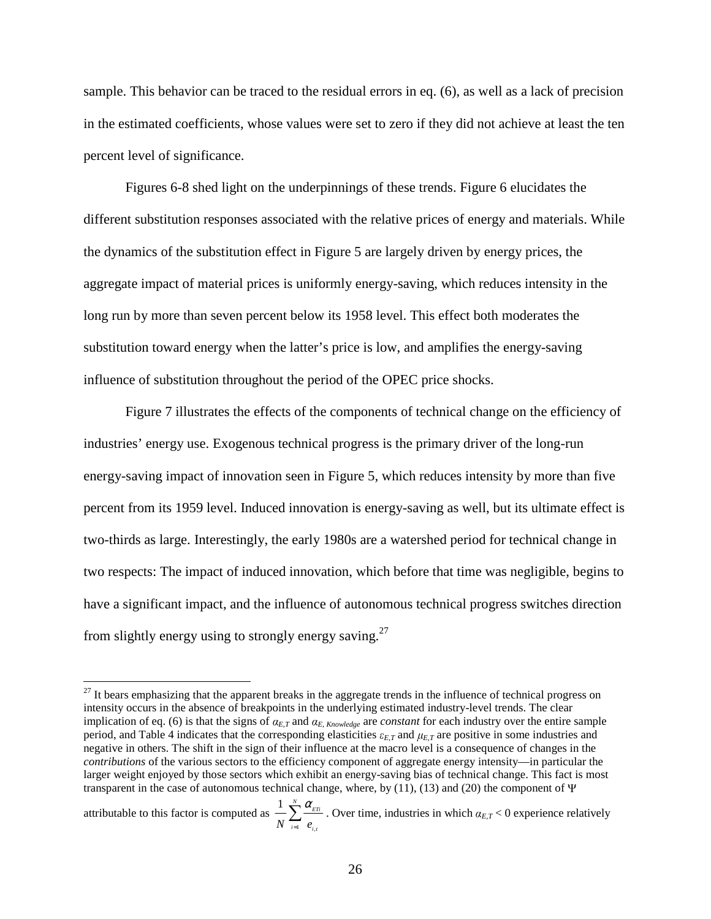sample. This behavior can be traced to the residual errors in eq. (6), as well as a lack of precision in the estimated coefficients, whose values were set to zero if they did not achieve at least the ten percent level of significance.

Figures 6-8 shed light on the underpinnings of these trends. Figure 6 elucidates the different substitution responses associated with the relative prices of energy and materials. While the dynamics of the substitution effect in Figure 5 are largely driven by energy prices, the aggregate impact of material prices is uniformly energy-saving, which reduces intensity in the long run by more than seven percent below its 1958 level. This effect both moderates the substitution toward energy when the latter's price is low, and amplifies the energy-saving influence of substitution throughout the period of the OPEC price shocks.

Figure 7 illustrates the effects of the components of technical change on the efficiency of industries' energy use. Exogenous technical progress is the primary driver of the long-run energy-saving impact of innovation seen in Figure 5, which reduces intensity by more than five percent from its 1959 level. Induced innovation is energy-saving as well, but its ultimate effect is two-thirds as large. Interestingly, the early 1980s are a watershed period for technical change in two respects: The impact of induced innovation, which before that time was negligible, begins to have a significant impact, and the influence of autonomous technical progress switches direction from slightly energy using to strongly energy saving.<sup>27</sup>

 $27$  It bears emphasizing that the apparent breaks in the aggregate trends in the influence of technical progress on intensity occurs in the absence of breakpoints in the underlying estimated industry-level trends. The clear implication of eq. (6) is that the signs of  $α_{E,T}$  and  $α_{E, Knowledge}$  are *constant* for each industry over the entire sample period, and Table 4 indicates that the corresponding elasticities  $\varepsilon_{E,T}$  and  $\mu_{E,T}$  are positive in some industries and negative in others. The shift in the sign of their influence at the macro level is a consequence of changes in the *contributions* of the various sectors to the efficiency component of aggregate energy intensity—in particular the larger weight enjoyed by those sectors which exhibit an energy-saving bias of technical change. This fact is most transparent in the case of autonomous technical change, where, by (11), (13) and (20) the component of  $\Psi$ 

attributable to this factor is computed as  $1$   $\boldsymbol{\epsilon}_{i,}$  $1 \sum_{ETi}^{N} \alpha_{ETi}$  $N \leftarrow i=1$   $e_{i,t}$ α  $\sum_{i=1}^{N} \frac{\alpha_{\text{ETi}}}{e_{i,j}}$ . Over time, industries in which  $\alpha_{E,T} < 0$  experience relatively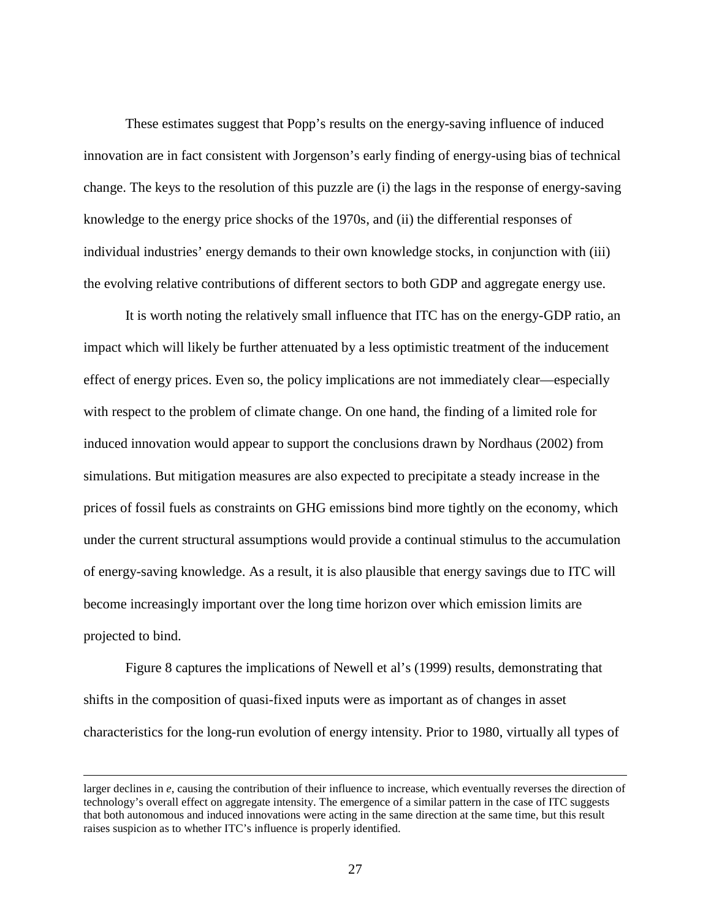These estimates suggest that Popp's results on the energy-saving influence of induced innovation are in fact consistent with Jorgenson's early finding of energy-using bias of technical change. The keys to the resolution of this puzzle are (i) the lags in the response of energy-saving knowledge to the energy price shocks of the 1970s, and (ii) the differential responses of individual industries' energy demands to their own knowledge stocks, in conjunction with (iii) the evolving relative contributions of different sectors to both GDP and aggregate energy use.

It is worth noting the relatively small influence that ITC has on the energy-GDP ratio, an impact which will likely be further attenuated by a less optimistic treatment of the inducement effect of energy prices. Even so, the policy implications are not immediately clear—especially with respect to the problem of climate change. On one hand, the finding of a limited role for induced innovation would appear to support the conclusions drawn by Nordhaus (2002) from simulations. But mitigation measures are also expected to precipitate a steady increase in the prices of fossil fuels as constraints on GHG emissions bind more tightly on the economy, which under the current structural assumptions would provide a continual stimulus to the accumulation of energy-saving knowledge. As a result, it is also plausible that energy savings due to ITC will become increasingly important over the long time horizon over which emission limits are projected to bind.

Figure 8 captures the implications of Newell et al's (1999) results, demonstrating that shifts in the composition of quasi-fixed inputs were as important as of changes in asset characteristics for the long-run evolution of energy intensity. Prior to 1980, virtually all types of

larger declines in  $e$ , causing the contribution of their influence to increase, which eventually reverses the direction of technology's overall effect on aggregate intensity. The emergence of a similar pattern in the case of ITC suggests that both autonomous and induced innovations were acting in the same direction at the same time, but this result raises suspicion as to whether ITC's influence is properly identified.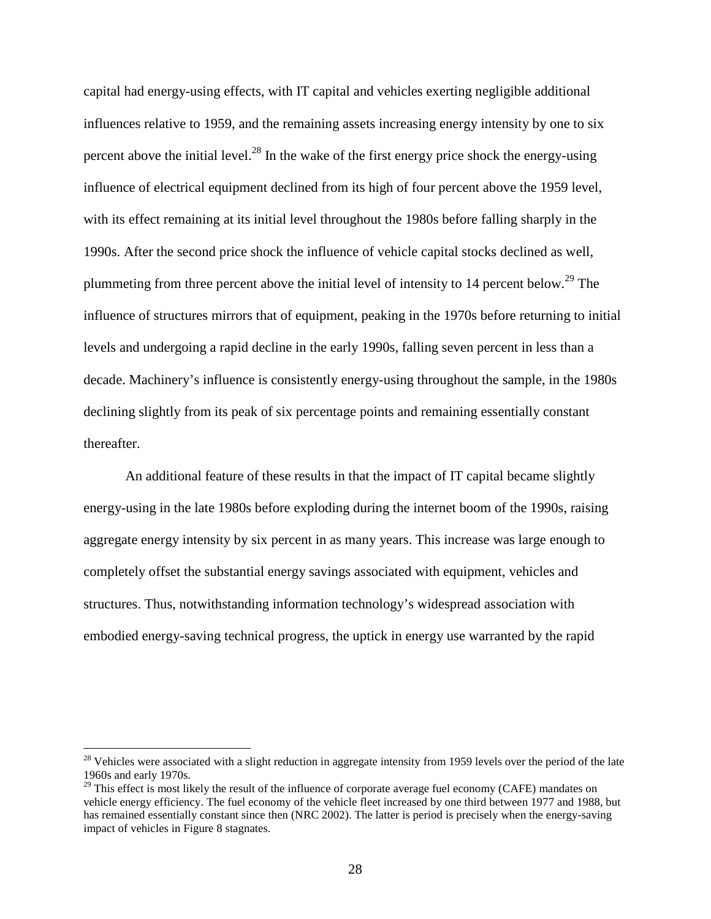capital had energy-using effects, with IT capital and vehicles exerting negligible additional influences relative to 1959, and the remaining assets increasing energy intensity by one to six percent above the initial level.<sup>28</sup> In the wake of the first energy price shock the energy-using influence of electrical equipment declined from its high of four percent above the 1959 level, with its effect remaining at its initial level throughout the 1980s before falling sharply in the 1990s. After the second price shock the influence of vehicle capital stocks declined as well, plummeting from three percent above the initial level of intensity to 14 percent below.<sup>29</sup> The influence of structures mirrors that of equipment, peaking in the 1970s before returning to initial levels and undergoing a rapid decline in the early 1990s, falling seven percent in less than a decade. Machinery's influence is consistently energy-using throughout the sample, in the 1980s declining slightly from its peak of six percentage points and remaining essentially constant thereafter.

An additional feature of these results in that the impact of IT capital became slightly energy-using in the late 1980s before exploding during the internet boom of the 1990s, raising aggregate energy intensity by six percent in as many years. This increase was large enough to completely offset the substantial energy savings associated with equipment, vehicles and structures. Thus, notwithstanding information technology's widespread association with embodied energy-saving technical progress, the uptick in energy use warranted by the rapid

<sup>&</sup>lt;sup>28</sup> Vehicles were associated with a slight reduction in aggregate intensity from 1959 levels over the period of the late 1960s and early 1970s.

 $29$  This effect is most likely the result of the influence of corporate average fuel economy (CAFE) mandates on vehicle energy efficiency. The fuel economy of the vehicle fleet increased by one third between 1977 and 1988, but has remained essentially constant since then (NRC 2002). The latter is period is precisely when the energy-saving impact of vehicles in Figure 8 stagnates.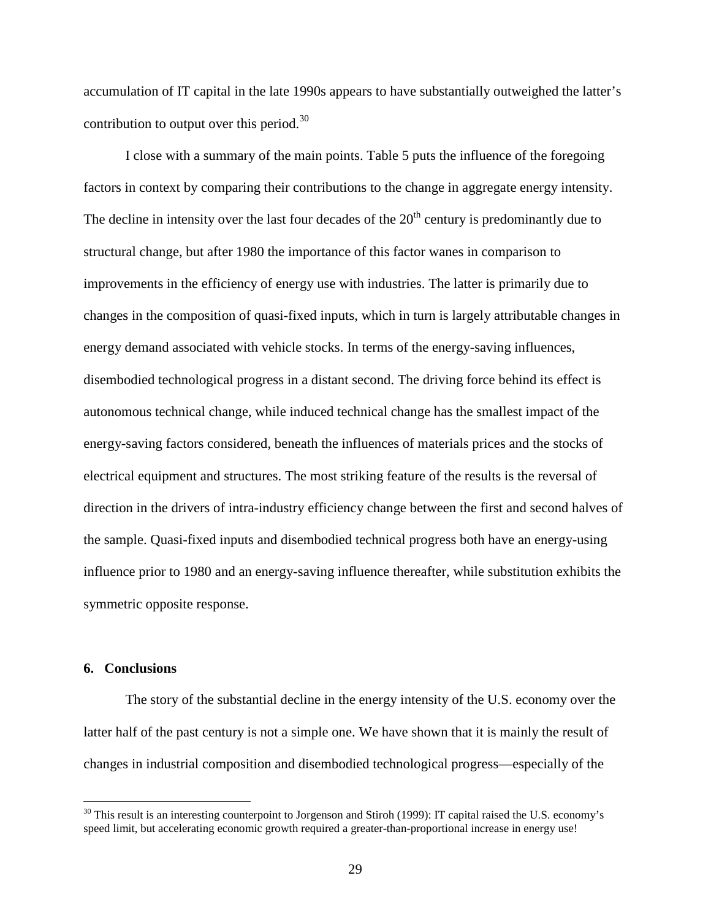accumulation of IT capital in the late 1990s appears to have substantially outweighed the latter's contribution to output over this period. $30$ 

I close with a summary of the main points. Table 5 puts the influence of the foregoing factors in context by comparing their contributions to the change in aggregate energy intensity. The decline in intensity over the last four decades of the  $20<sup>th</sup>$  century is predominantly due to structural change, but after 1980 the importance of this factor wanes in comparison to improvements in the efficiency of energy use with industries. The latter is primarily due to changes in the composition of quasi-fixed inputs, which in turn is largely attributable changes in energy demand associated with vehicle stocks. In terms of the energy-saving influences, disembodied technological progress in a distant second. The driving force behind its effect is autonomous technical change, while induced technical change has the smallest impact of the energy-saving factors considered, beneath the influences of materials prices and the stocks of electrical equipment and structures. The most striking feature of the results is the reversal of direction in the drivers of intra-industry efficiency change between the first and second halves of the sample. Quasi-fixed inputs and disembodied technical progress both have an energy-using influence prior to 1980 and an energy-saving influence thereafter, while substitution exhibits the symmetric opposite response.

### **6. Conclusions**

 $\overline{a}$ 

The story of the substantial decline in the energy intensity of the U.S. economy over the latter half of the past century is not a simple one. We have shown that it is mainly the result of changes in industrial composition and disembodied technological progress—especially of the

 $30$  This result is an interesting counterpoint to Jorgenson and Stiroh (1999): IT capital raised the U.S. economy's speed limit, but accelerating economic growth required a greater-than-proportional increase in energy use!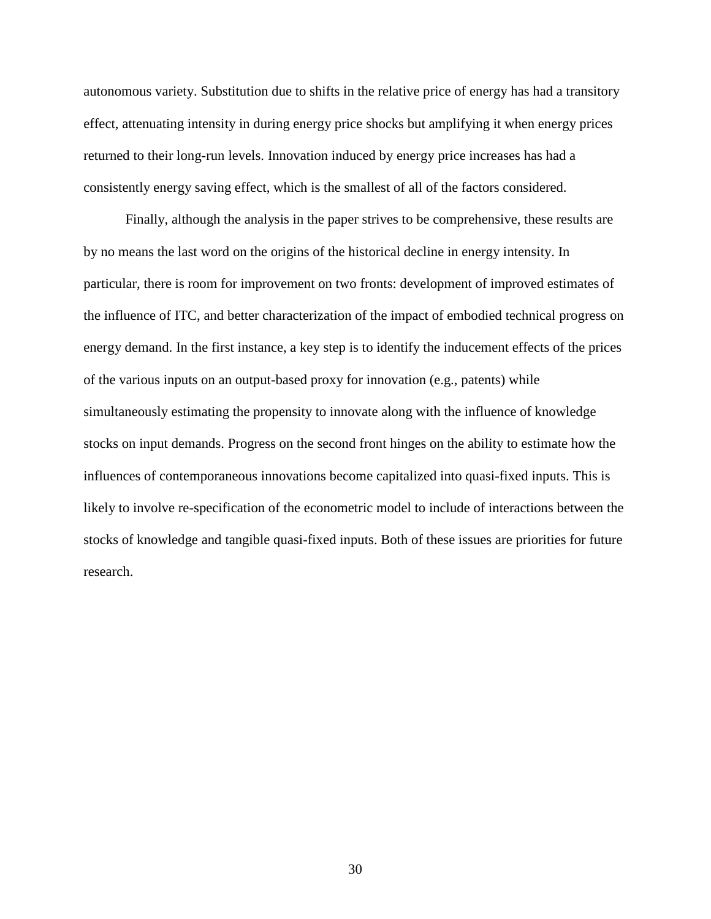autonomous variety. Substitution due to shifts in the relative price of energy has had a transitory effect, attenuating intensity in during energy price shocks but amplifying it when energy prices returned to their long-run levels. Innovation induced by energy price increases has had a consistently energy saving effect, which is the smallest of all of the factors considered.

Finally, although the analysis in the paper strives to be comprehensive, these results are by no means the last word on the origins of the historical decline in energy intensity. In particular, there is room for improvement on two fronts: development of improved estimates of the influence of ITC, and better characterization of the impact of embodied technical progress on energy demand. In the first instance, a key step is to identify the inducement effects of the prices of the various inputs on an output-based proxy for innovation (e.g., patents) while simultaneously estimating the propensity to innovate along with the influence of knowledge stocks on input demands. Progress on the second front hinges on the ability to estimate how the influences of contemporaneous innovations become capitalized into quasi-fixed inputs. This is likely to involve re-specification of the econometric model to include of interactions between the stocks of knowledge and tangible quasi-fixed inputs. Both of these issues are priorities for future research.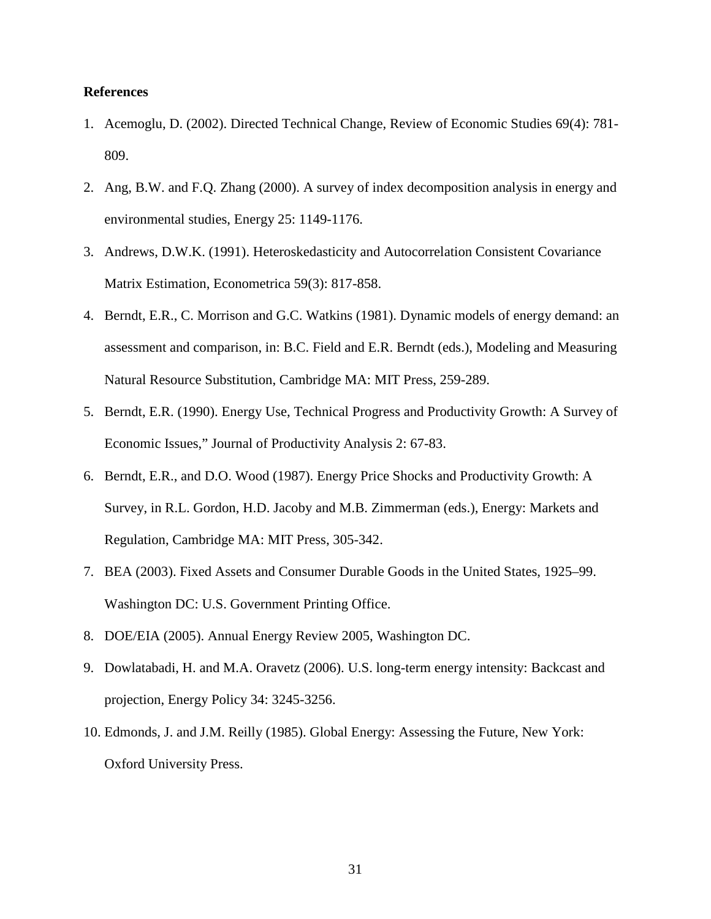### **References**

- 1. Acemoglu, D. (2002). Directed Technical Change, Review of Economic Studies 69(4): 781- 809.
- 2. Ang, B.W. and F.Q. Zhang (2000). A survey of index decomposition analysis in energy and environmental studies, Energy 25: 1149-1176.
- 3. Andrews, D.W.K. (1991). Heteroskedasticity and Autocorrelation Consistent Covariance Matrix Estimation, Econometrica 59(3): 817-858.
- 4. Berndt, E.R., C. Morrison and G.C. Watkins (1981). Dynamic models of energy demand: an assessment and comparison, in: B.C. Field and E.R. Berndt (eds.), Modeling and Measuring Natural Resource Substitution, Cambridge MA: MIT Press, 259-289.
- 5. Berndt, E.R. (1990). Energy Use, Technical Progress and Productivity Growth: A Survey of Economic Issues," Journal of Productivity Analysis 2: 67-83.
- 6. Berndt, E.R., and D.O. Wood (1987). Energy Price Shocks and Productivity Growth: A Survey, in R.L. Gordon, H.D. Jacoby and M.B. Zimmerman (eds.), Energy: Markets and Regulation, Cambridge MA: MIT Press, 305-342.
- 7. BEA (2003). Fixed Assets and Consumer Durable Goods in the United States, 1925–99. Washington DC: U.S. Government Printing Office.
- 8. DOE/EIA (2005). Annual Energy Review 2005, Washington DC.
- 9. Dowlatabadi, H. and M.A. Oravetz (2006). U.S. long-term energy intensity: Backcast and projection, Energy Policy 34: 3245-3256.
- 10. Edmonds, J. and J.M. Reilly (1985). Global Energy: Assessing the Future, New York: Oxford University Press.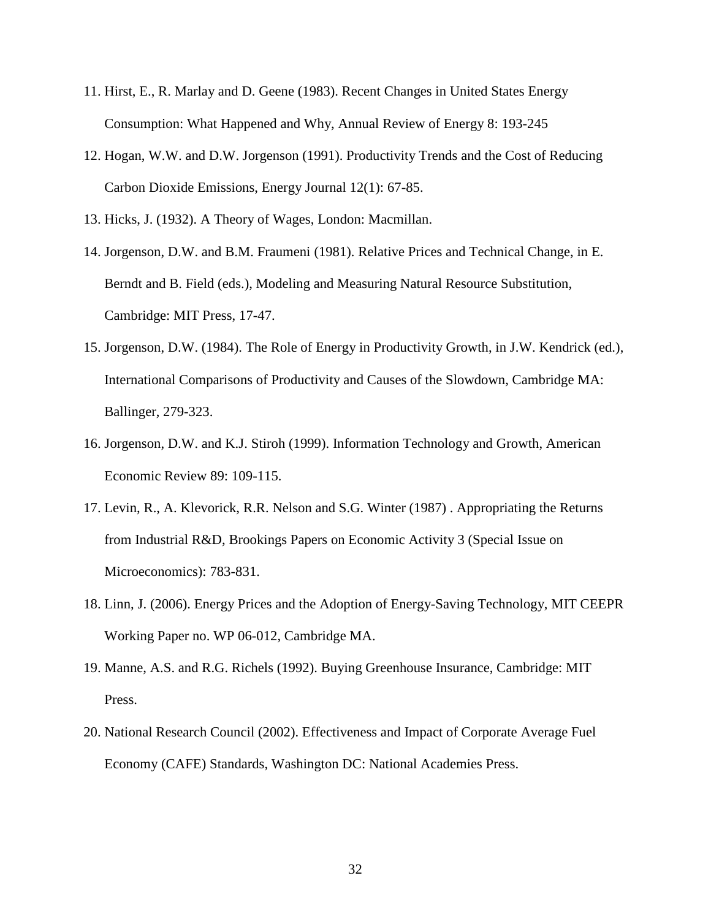- 11. Hirst, E., R. Marlay and D. Geene (1983). Recent Changes in United States Energy Consumption: What Happened and Why, Annual Review of Energy 8: 193-245
- 12. Hogan, W.W. and D.W. Jorgenson (1991). Productivity Trends and the Cost of Reducing Carbon Dioxide Emissions, Energy Journal 12(1): 67-85.
- 13. Hicks, J. (1932). A Theory of Wages, London: Macmillan.
- 14. Jorgenson, D.W. and B.M. Fraumeni (1981). Relative Prices and Technical Change, in E. Berndt and B. Field (eds.), Modeling and Measuring Natural Resource Substitution, Cambridge: MIT Press, 17-47.
- 15. Jorgenson, D.W. (1984). The Role of Energy in Productivity Growth, in J.W. Kendrick (ed.), International Comparisons of Productivity and Causes of the Slowdown, Cambridge MA: Ballinger, 279-323.
- 16. Jorgenson, D.W. and K.J. Stiroh (1999). Information Technology and Growth, American Economic Review 89: 109-115.
- 17. Levin, R., A. Klevorick, R.R. Nelson and S.G. Winter (1987) . Appropriating the Returns from Industrial R&D, Brookings Papers on Economic Activity 3 (Special Issue on Microeconomics): 783-831.
- 18. Linn, J. (2006). Energy Prices and the Adoption of Energy-Saving Technology, MIT CEEPR Working Paper no. WP 06-012, Cambridge MA.
- 19. Manne, A.S. and R.G. Richels (1992). Buying Greenhouse Insurance, Cambridge: MIT Press.
- 20. National Research Council (2002). Effectiveness and Impact of Corporate Average Fuel Economy (CAFE) Standards, Washington DC: National Academies Press.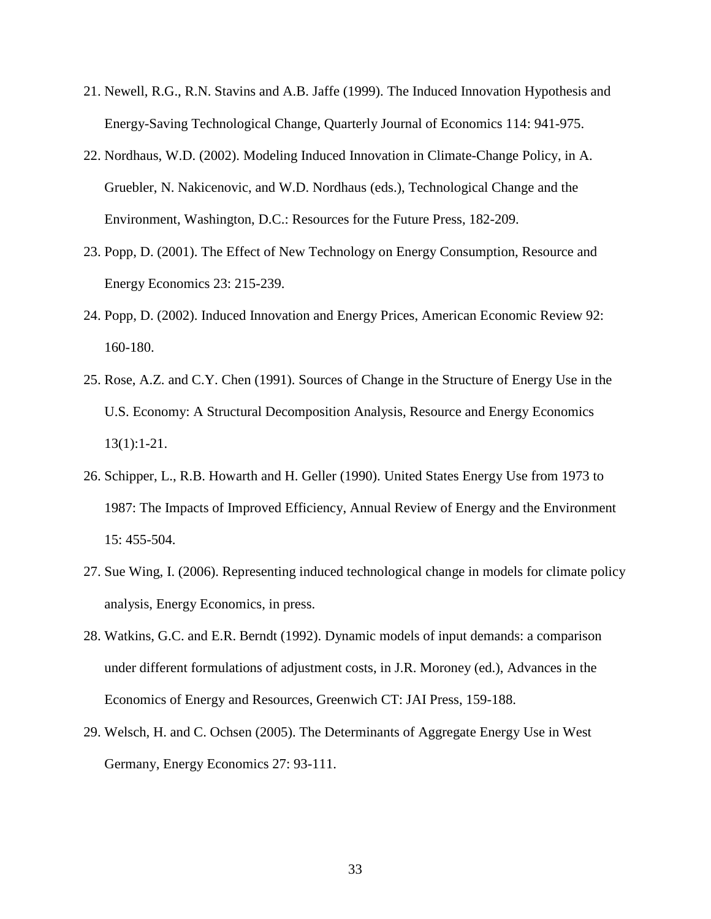- 21. Newell, R.G., R.N. Stavins and A.B. Jaffe (1999). The Induced Innovation Hypothesis and Energy-Saving Technological Change, Quarterly Journal of Economics 114: 941-975.
- 22. Nordhaus, W.D. (2002). Modeling Induced Innovation in Climate-Change Policy, in A. Gruebler, N. Nakicenovic, and W.D. Nordhaus (eds.), Technological Change and the Environment, Washington, D.C.: Resources for the Future Press, 182-209.
- 23. Popp, D. (2001). The Effect of New Technology on Energy Consumption, Resource and Energy Economics 23: 215-239.
- 24. Popp, D. (2002). Induced Innovation and Energy Prices, American Economic Review 92: 160-180.
- 25. Rose, A.Z. and C.Y. Chen (1991). Sources of Change in the Structure of Energy Use in the U.S. Economy: A Structural Decomposition Analysis, Resource and Energy Economics 13(1):1-21.
- 26. Schipper, L., R.B. Howarth and H. Geller (1990). United States Energy Use from 1973 to 1987: The Impacts of Improved Efficiency, Annual Review of Energy and the Environment 15: 455-504.
- 27. Sue Wing, I. (2006). Representing induced technological change in models for climate policy analysis, Energy Economics, in press.
- 28. Watkins, G.C. and E.R. Berndt (1992). Dynamic models of input demands: a comparison under different formulations of adjustment costs, in J.R. Moroney (ed.), Advances in the Economics of Energy and Resources, Greenwich CT: JAI Press, 159-188.
- 29. Welsch, H. and C. Ochsen (2005). The Determinants of Aggregate Energy Use in West Germany, Energy Economics 27: 93-111.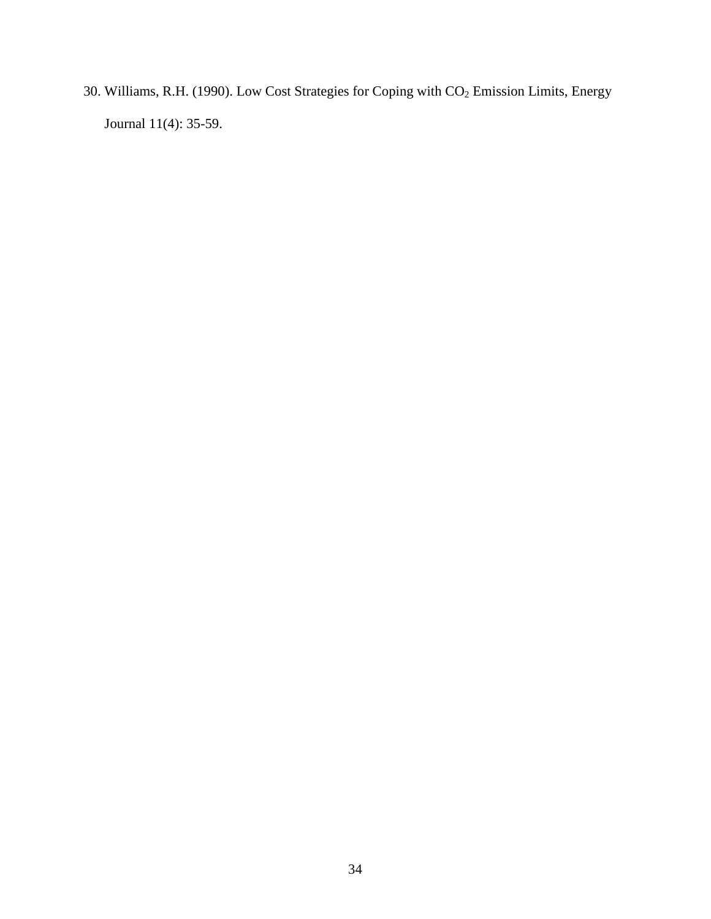30. Williams, R.H. (1990). Low Cost Strategies for Coping with CO<sub>2</sub> Emission Limits, Energy Journal 11(4): 35-59.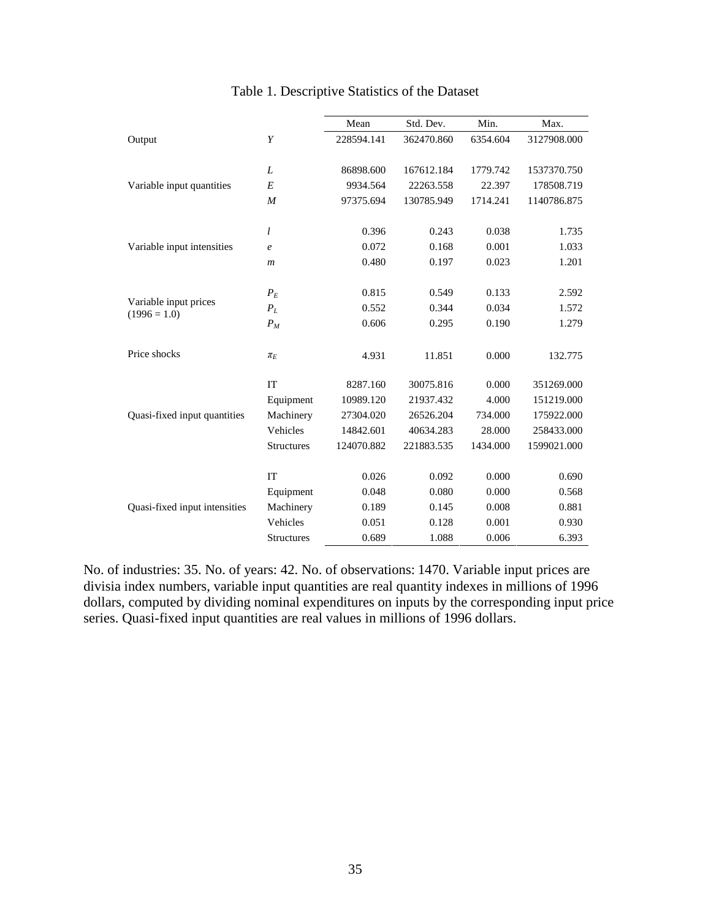|                               |                   | Mean       | Std. Dev.  | Min.     | Max.        |
|-------------------------------|-------------------|------------|------------|----------|-------------|
| Output                        | Y                 | 228594.141 | 362470.860 | 6354.604 | 3127908.000 |
|                               |                   |            |            |          |             |
|                               | L                 | 86898.600  | 167612.184 | 1779.742 | 1537370.750 |
| Variable input quantities     | E                 | 9934.564   | 22263.558  | 22.397   | 178508.719  |
|                               | $\boldsymbol{M}$  | 97375.694  | 130785.949 | 1714.241 | 1140786.875 |
|                               | l                 | 0.396      | 0.243      | 0.038    | 1.735       |
| Variable input intensities    | $\mathfrak{e}$    | 0.072      | 0.168      | 0.001    | 1.033       |
|                               | $\boldsymbol{m}$  | 0.480      | 0.197      | 0.023    | 1.201       |
|                               |                   |            |            |          |             |
| Variable input prices         | $P_E$             | 0.815      | 0.549      | 0.133    | 2.592       |
| $(1996 = 1.0)$                | $P_L$             | 0.552      | 0.344      | 0.034    | 1.572       |
|                               | $P_M$             | 0.606      | 0.295      | 0.190    | 1.279       |
| Price shocks                  | $\pi_E$           | 4.931      | 11.851     | 0.000    | 132.775     |
|                               | IT                | 8287.160   | 30075.816  | 0.000    | 351269.000  |
|                               | Equipment         | 10989.120  | 21937.432  | 4.000    | 151219.000  |
| Quasi-fixed input quantities  | Machinery         | 27304.020  | 26526.204  | 734.000  | 175922.000  |
|                               | Vehicles          | 14842.601  | 40634.283  | 28.000   | 258433.000  |
|                               | <b>Structures</b> | 124070.882 | 221883.535 | 1434.000 | 1599021.000 |
|                               | IT                | 0.026      | 0.092      | 0.000    | 0.690       |
|                               | Equipment         | 0.048      | 0.080      | 0.000    | 0.568       |
| Quasi-fixed input intensities | Machinery         | 0.189      | 0.145      | 0.008    | 0.881       |
|                               | Vehicles          | 0.051      | 0.128      | 0.001    | 0.930       |
|                               | Structures        | 0.689      | 1.088      | 0.006    | 6.393       |

# Table 1. Descriptive Statistics of the Dataset

No. of industries: 35. No. of years: 42. No. of observations: 1470. Variable input prices are divisia index numbers, variable input quantities are real quantity indexes in millions of 1996 dollars, computed by dividing nominal expenditures on inputs by the corresponding input price series. Quasi-fixed input quantities are real values in millions of 1996 dollars.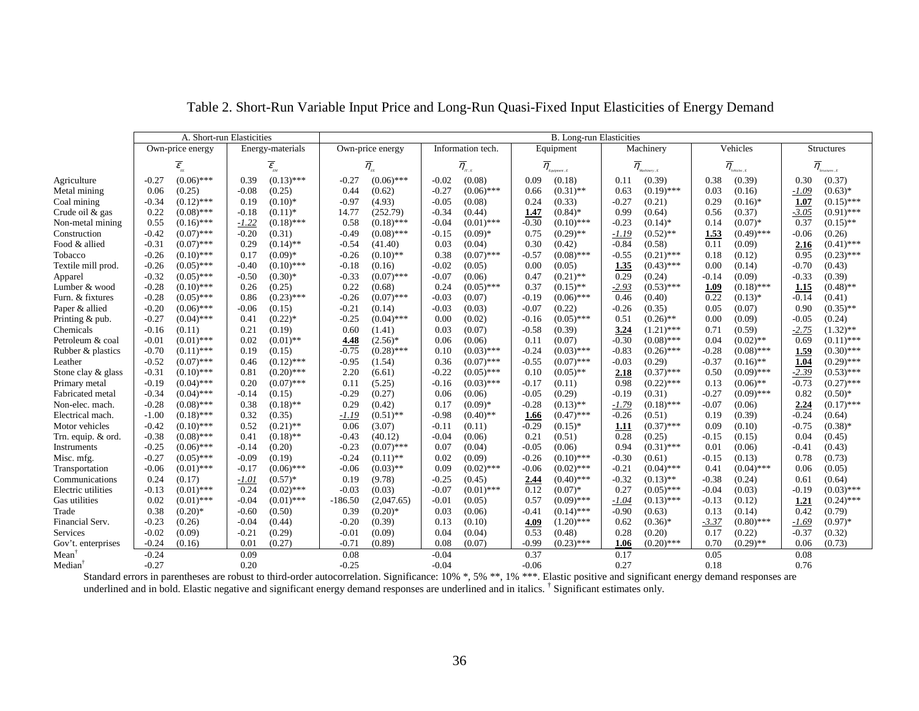| Vehicles<br>Energy-materials<br>Own-price energy<br>Information tech.<br>Equipment<br>Machinery<br>Own-price energy<br>$\overline{\mathcal{E}}_{_{\!\scriptscriptstyle E\!E}}$<br>$\overline{\eta}_{_{\scriptscriptstyle \pi,\varepsilon}}$<br>$\overline{\eta}_{_{\mathit{Equipment}\,,\mathit{E}}}$<br>$\overline{\mathcal{E}}_{_{\!\!\mathit{EM}}}$<br>$\overline{\eta}_{_{\textit{Machinery},\,E}}$<br>$\overline{\eta}_{_{\textit{Vekicles}\,,\,E}}$<br>$\overline{\eta}_{_{\scriptscriptstyle{E\!E}}}$<br>$(0.13)$ ***<br>$(0.06)$ ***<br>0.38<br>(0.39)<br>$-0.27$<br>$(0.06)$ ***<br>0.39<br>$-0.27$<br>$-0.02$<br>(0.08)<br>0.09<br>(0.18)<br>(0.39)<br>0.30<br>Agriculture<br>0.11<br>$-0.27$<br>$(0.06)$ ***<br>$(0.31)$ **<br>$(0.19)$ ***<br>(0.16)<br>Metal mining<br>0.06<br>(0.25)<br>(0.25)<br>0.44<br>(0.62)<br>0.03<br>$-1.09$<br>$-0.08$<br>0.66<br>0.63<br>$-0.34$<br>$(0.12)$ ***<br>$(0.10)*$<br>$-0.97$<br>(4.93)<br>$-0.05$<br>(0.08)<br>0.24<br>(0.33)<br>$-0.27$<br>(0.21)<br>0.29<br>$(0.16)$ *<br>Coal mining<br>0.19<br>1.07<br>0.22<br>$(0.08)$ ***<br>(252.79)<br>$-0.34$<br>$(0.84)$ *<br>0.99<br>0.56<br>(0.37)<br>$-3.05$<br>Crude oil & gas<br>$-0.18$<br>$(0.11)^*$<br>14.77<br>(0.44)<br>1.47<br>(0.64)<br>$-0.30$<br>$(0.18)$ ***<br>$(0.10)$ ***<br>$(0.07)*$<br>0.37<br>Non-metal mining<br>0.55<br>$(0.16)$ ***<br>$-1.22$<br>$(0.18)$ ***<br>0.58<br>$-0.04$<br>$(0.01)$ ***<br>$-0.23$<br>$(0.14)$ *<br>0.14<br>Construction<br>$(0.07)$ ***<br>$(0.08)$ ***<br>$(0.29)$ **<br>$(0.52)$ **<br>1.53<br>$-0.42$<br>$-0.20$<br>(0.31)<br>$-0.49$<br>$-0.15$<br>$(0.09)*$<br>0.75<br>$-1.19$<br>$(0.49)$ ***<br>$-0.06$<br>Food & allied<br>$-0.31$<br>$(0.07)$ ***<br>$(0.14)$ **<br>$-0.54$<br>0.30<br>(0.42)<br>$-0.84$<br>(0.58)<br>0.11<br>(0.09)<br>2.16<br>0.29<br>(41.40)<br>0.03<br>(0.04)<br>$(0.10)$ ***<br>$(0.09)*$<br>$(0.07)$ ***<br>$-0.57$<br>$(0.08)$ ***<br>$(0.21)$ ***<br>0.95<br>Tobacco<br>$-0.26$<br>0.17<br>$-0.26$<br>$(0.10)$ **<br>0.38<br>$-0.55$<br>0.18<br>(0.12) |                                                               |
|------------------------------------------------------------------------------------------------------------------------------------------------------------------------------------------------------------------------------------------------------------------------------------------------------------------------------------------------------------------------------------------------------------------------------------------------------------------------------------------------------------------------------------------------------------------------------------------------------------------------------------------------------------------------------------------------------------------------------------------------------------------------------------------------------------------------------------------------------------------------------------------------------------------------------------------------------------------------------------------------------------------------------------------------------------------------------------------------------------------------------------------------------------------------------------------------------------------------------------------------------------------------------------------------------------------------------------------------------------------------------------------------------------------------------------------------------------------------------------------------------------------------------------------------------------------------------------------------------------------------------------------------------------------------------------------------------------------------------------------------------------------------------------------------------------------------------------------------------------------------------------------------------------------------------------------------------------------------------------------------------------------------------------------|---------------------------------------------------------------|
|                                                                                                                                                                                                                                                                                                                                                                                                                                                                                                                                                                                                                                                                                                                                                                                                                                                                                                                                                                                                                                                                                                                                                                                                                                                                                                                                                                                                                                                                                                                                                                                                                                                                                                                                                                                                                                                                                                                                                                                                                                          | Structures                                                    |
|                                                                                                                                                                                                                                                                                                                                                                                                                                                                                                                                                                                                                                                                                                                                                                                                                                                                                                                                                                                                                                                                                                                                                                                                                                                                                                                                                                                                                                                                                                                                                                                                                                                                                                                                                                                                                                                                                                                                                                                                                                          | $\overline{\eta}_{\tiny_{S\text{-}\mathit{inactures}\,,\,E}}$ |
|                                                                                                                                                                                                                                                                                                                                                                                                                                                                                                                                                                                                                                                                                                                                                                                                                                                                                                                                                                                                                                                                                                                                                                                                                                                                                                                                                                                                                                                                                                                                                                                                                                                                                                                                                                                                                                                                                                                                                                                                                                          | (0.37)                                                        |
|                                                                                                                                                                                                                                                                                                                                                                                                                                                                                                                                                                                                                                                                                                                                                                                                                                                                                                                                                                                                                                                                                                                                                                                                                                                                                                                                                                                                                                                                                                                                                                                                                                                                                                                                                                                                                                                                                                                                                                                                                                          | $(0.63)*$                                                     |
|                                                                                                                                                                                                                                                                                                                                                                                                                                                                                                                                                                                                                                                                                                                                                                                                                                                                                                                                                                                                                                                                                                                                                                                                                                                                                                                                                                                                                                                                                                                                                                                                                                                                                                                                                                                                                                                                                                                                                                                                                                          | $(0.15)$ ***                                                  |
|                                                                                                                                                                                                                                                                                                                                                                                                                                                                                                                                                                                                                                                                                                                                                                                                                                                                                                                                                                                                                                                                                                                                                                                                                                                                                                                                                                                                                                                                                                                                                                                                                                                                                                                                                                                                                                                                                                                                                                                                                                          | $(0.91)$ ***                                                  |
|                                                                                                                                                                                                                                                                                                                                                                                                                                                                                                                                                                                                                                                                                                                                                                                                                                                                                                                                                                                                                                                                                                                                                                                                                                                                                                                                                                                                                                                                                                                                                                                                                                                                                                                                                                                                                                                                                                                                                                                                                                          | $(0.15)$ **                                                   |
|                                                                                                                                                                                                                                                                                                                                                                                                                                                                                                                                                                                                                                                                                                                                                                                                                                                                                                                                                                                                                                                                                                                                                                                                                                                                                                                                                                                                                                                                                                                                                                                                                                                                                                                                                                                                                                                                                                                                                                                                                                          | (0.26)                                                        |
|                                                                                                                                                                                                                                                                                                                                                                                                                                                                                                                                                                                                                                                                                                                                                                                                                                                                                                                                                                                                                                                                                                                                                                                                                                                                                                                                                                                                                                                                                                                                                                                                                                                                                                                                                                                                                                                                                                                                                                                                                                          | $(0.41)$ ***                                                  |
|                                                                                                                                                                                                                                                                                                                                                                                                                                                                                                                                                                                                                                                                                                                                                                                                                                                                                                                                                                                                                                                                                                                                                                                                                                                                                                                                                                                                                                                                                                                                                                                                                                                                                                                                                                                                                                                                                                                                                                                                                                          | $(0.23)$ ***                                                  |
| 1.35<br>0.00<br>$-0.70$<br>Textile mill prod.<br>$-0.26$<br>$(0.05)$ ***<br>$-0.40$<br>$(0.10)$ ***<br>$-0.18$<br>(0.16)<br>$-0.02$<br>(0.05)<br>0.00<br>(0.05)<br>$(0.43)$ ***<br>(0.14)                                                                                                                                                                                                                                                                                                                                                                                                                                                                                                                                                                                                                                                                                                                                                                                                                                                                                                                                                                                                                                                                                                                                                                                                                                                                                                                                                                                                                                                                                                                                                                                                                                                                                                                                                                                                                                                | (0.43)                                                        |
| 0.29<br>$-0.32$<br>$(0.05)$ ***<br>$(0.07)$ ***<br>(0.09)<br>$-0.33$<br>$-0.50$<br>$(0.30)*$<br>$-0.33$<br>$-0.07$<br>(0.06)<br>0.47<br>$(0.21)$ **<br>(0.24)<br>$-0.14$<br>Apparel                                                                                                                                                                                                                                                                                                                                                                                                                                                                                                                                                                                                                                                                                                                                                                                                                                                                                                                                                                                                                                                                                                                                                                                                                                                                                                                                                                                                                                                                                                                                                                                                                                                                                                                                                                                                                                                      | (0.39)                                                        |
| $-0.28$<br>$(0.10)$ ***<br>(0.25)<br>0.22<br>(0.68)<br>0.24<br>$(0.05)$ ***<br>0.37<br>$(0.15)$ **<br>$-2.93$<br>$(0.53)$ ***<br>1.09<br>$(0.18)$ ***<br>1.15<br>Lumber & wood<br>0.26                                                                                                                                                                                                                                                                                                                                                                                                                                                                                                                                                                                                                                                                                                                                                                                                                                                                                                                                                                                                                                                                                                                                                                                                                                                                                                                                                                                                                                                                                                                                                                                                                                                                                                                                                                                                                                                   | $(0.48)$ **                                                   |
| 0.22<br>Furn. & fixtures<br>$-0.28$<br>$(0.05)$ ***<br>$(0.23)$ ***<br>$(0.07)$ ***<br>$(0.06)$ ***<br>0.46<br>0.86<br>$-0.26$<br>$-0.03$<br>(0.07)<br>$-0.19$<br>(0.40)<br>$(0.13)*$<br>$-0.14$                                                                                                                                                                                                                                                                                                                                                                                                                                                                                                                                                                                                                                                                                                                                                                                                                                                                                                                                                                                                                                                                                                                                                                                                                                                                                                                                                                                                                                                                                                                                                                                                                                                                                                                                                                                                                                         | (0.41)                                                        |
| Paper & allied<br>$-0.20$<br>$(0.06)$ ***<br>$-0.03$<br>(0.22)<br>$-0.26$<br>(0.35)<br>0.05<br>(0.07)<br>0.90<br>$-0.06$<br>(0.15)<br>$-0.21$<br>(0.14)<br>(0.03)<br>$-0.07$                                                                                                                                                                                                                                                                                                                                                                                                                                                                                                                                                                                                                                                                                                                                                                                                                                                                                                                                                                                                                                                                                                                                                                                                                                                                                                                                                                                                                                                                                                                                                                                                                                                                                                                                                                                                                                                             | $(0.35)$ **                                                   |
| $-0.27$<br>$(0.22)$ *<br>$-0.25$<br>$(0.04)$ ***<br>$(0.05)$ ***<br>0.51<br>$(0.26)$ **<br>0.00<br>(0.09)<br>Printing & pub.<br>$(0.04)$ ***<br>0.41<br>0.00<br>(0.02)<br>$-0.16$<br>$-0.05$                                                                                                                                                                                                                                                                                                                                                                                                                                                                                                                                                                                                                                                                                                                                                                                                                                                                                                                                                                                                                                                                                                                                                                                                                                                                                                                                                                                                                                                                                                                                                                                                                                                                                                                                                                                                                                             | (0.24)                                                        |
| Chemicals<br>0.21<br>(0.19)<br>0.60<br>0.03<br>(0.07)<br>$-0.58$<br>(0.39)<br>3.24<br>$(1.21)$ ***<br>0.71<br>(0.59)<br>$-2.75$<br>$-0.16$<br>(0.11)<br>(1.41)                                                                                                                                                                                                                                                                                                                                                                                                                                                                                                                                                                                                                                                                                                                                                                                                                                                                                                                                                                                                                                                                                                                                                                                                                                                                                                                                                                                                                                                                                                                                                                                                                                                                                                                                                                                                                                                                           | $(1.32)$ **                                                   |
| Petroleum & coal<br>$-0.01$<br>$(0.01)$ ***<br>0.02<br>$(0.01)$ **<br>$(2.56)*$<br>(0.07)<br>$-0.30$<br>$(0.08)$ ***<br>0.04<br>$(0.02)$ **<br>0.69<br>4.48<br>0.06<br>(0.06)<br>0.11                                                                                                                                                                                                                                                                                                                                                                                                                                                                                                                                                                                                                                                                                                                                                                                                                                                                                                                                                                                                                                                                                                                                                                                                                                                                                                                                                                                                                                                                                                                                                                                                                                                                                                                                                                                                                                                    | $(0.11)$ ***                                                  |
| $(0.28)$ ***<br>$(0.03)$ ***<br>Rubber & plastics<br>$-0.70$<br>$(0.11)$ ***<br>(0.15)<br>$-0.75$<br>$(0.03)$ ***<br>$-0.24$<br>$-0.83$<br>$(0.26)$ ***<br>$-0.28$<br>$(0.08)$ ***<br>1.59<br>0.19<br>0.10                                                                                                                                                                                                                                                                                                                                                                                                                                                                                                                                                                                                                                                                                                                                                                                                                                                                                                                                                                                                                                                                                                                                                                                                                                                                                                                                                                                                                                                                                                                                                                                                                                                                                                                                                                                                                               | $(0.30)$ ***                                                  |
| $(0.07)$ ***<br>$(0.07)$ ***<br>$(0.07)$ ***<br>$-0.37$<br>Leather<br>$-0.52$<br>$(0.12)$ ***<br>$-0.95$<br>(1.54)<br>0.36<br>$-0.55$<br>$-0.03$<br>(0.29)<br>$(0.16)$ **<br>1.04<br>0.46                                                                                                                                                                                                                                                                                                                                                                                                                                                                                                                                                                                                                                                                                                                                                                                                                                                                                                                                                                                                                                                                                                                                                                                                                                                                                                                                                                                                                                                                                                                                                                                                                                                                                                                                                                                                                                                | $(0.29)$ ***                                                  |
| $(0.20)$ ***<br>$(0.37)$ ***<br>0.50<br>Stone clay & glass<br>$-0.31$<br>$(0.10)$ ***<br>0.81<br>2.20<br>(6.61)<br>$-0.22$<br>$(0.05)$ ***<br>0.10<br>$(0.05)$ **<br>2.18<br>$(0.09)$ ***<br>$-2.39$                                                                                                                                                                                                                                                                                                                                                                                                                                                                                                                                                                                                                                                                                                                                                                                                                                                                                                                                                                                                                                                                                                                                                                                                                                                                                                                                                                                                                                                                                                                                                                                                                                                                                                                                                                                                                                     | $(0.53)$ ***                                                  |
| 0.98<br>$(0.22)$ ***<br>$(0.04)$ ***<br>$(0.07)$ ***<br>(5.25)<br>$(0.03)$ ***<br>0.13<br>$-0.73$<br>Primary metal<br>$-0.19$<br>0.20<br>0.11<br>$-0.16$<br>$-0.17$<br>(0.11)<br>$(0.06)$ **                                                                                                                                                                                                                                                                                                                                                                                                                                                                                                                                                                                                                                                                                                                                                                                                                                                                                                                                                                                                                                                                                                                                                                                                                                                                                                                                                                                                                                                                                                                                                                                                                                                                                                                                                                                                                                             | $(0.27)$ ***                                                  |
| Fabricated metal<br>(0.27)<br>$-0.27$<br>0.82<br>$-0.34$<br>$(0.04)$ ***<br>(0.15)<br>$-0.29$<br>0.06<br>(0.06)<br>$-0.05$<br>(0.29)<br>$-0.19$<br>(0.31)<br>$(0.09)$ ***<br>$-0.14$                                                                                                                                                                                                                                                                                                                                                                                                                                                                                                                                                                                                                                                                                                                                                                                                                                                                                                                                                                                                                                                                                                                                                                                                                                                                                                                                                                                                                                                                                                                                                                                                                                                                                                                                                                                                                                                     | $(0.50)*$                                                     |
| Non-elec. mach.<br>$(0.08)$ ***<br>(0.42)<br>$-1.79$<br>$(0.18)$ ***<br>$-0.07$<br>$-0.28$<br>0.38<br>$(0.18)$ **<br>0.29<br>0.17<br>$(0.09)*$<br>$-0.28$<br>$(0.13)$ **<br>(0.06)<br>2.24                                                                                                                                                                                                                                                                                                                                                                                                                                                                                                                                                                                                                                                                                                                                                                                                                                                                                                                                                                                                                                                                                                                                                                                                                                                                                                                                                                                                                                                                                                                                                                                                                                                                                                                                                                                                                                               | $(0.17)$ ***                                                  |
| $-0.26$<br>Electrical mach.<br>$-1.00$<br>$(0.18)$ ***<br>0.32<br>(0.35)<br>$(0.51)$ **<br>$-0.98$<br>$(0.40)$ **<br>$(0.47)$ ***<br>(0.51)<br>0.19<br>(0.39)<br>$-0.24$<br>$-1.19$<br>1.66                                                                                                                                                                                                                                                                                                                                                                                                                                                                                                                                                                                                                                                                                                                                                                                                                                                                                                                                                                                                                                                                                                                                                                                                                                                                                                                                                                                                                                                                                                                                                                                                                                                                                                                                                                                                                                              | (0.64)                                                        |
| $(0.21)$ **<br>$-0.29$<br>$(0.37)$ ***<br>0.09<br>$-0.75$<br>Motor vehicles<br>$-0.42$<br>$(0.10)$ ***<br>0.52<br>0.06<br>(3.07)<br>$(0.15)*$<br>(0.10)<br>$-0.11$<br>(0.11)<br>1.11                                                                                                                                                                                                                                                                                                                                                                                                                                                                                                                                                                                                                                                                                                                                                                                                                                                                                                                                                                                                                                                                                                                                                                                                                                                                                                                                                                                                                                                                                                                                                                                                                                                                                                                                                                                                                                                     | $(0.38)$ *                                                    |
| 0.28<br>(0.25)<br>0.04<br>$-0.38$<br>$(0.08)$ ***<br>0.41<br>$(0.18)$ **<br>$-0.04$<br>(0.06)<br>0.21<br>(0.51)<br>(0.15)<br>Trn. equip. & ord.<br>$-0.43$<br>(40.12)<br>$-0.15$                                                                                                                                                                                                                                                                                                                                                                                                                                                                                                                                                                                                                                                                                                                                                                                                                                                                                                                                                                                                                                                                                                                                                                                                                                                                                                                                                                                                                                                                                                                                                                                                                                                                                                                                                                                                                                                         | (0.45)                                                        |
| $-0.25$<br>$(0.06)$ ***<br>$-0.23$<br>$(0.07)$ ***<br>$-0.05$<br>0.94<br>$(0.31)$ ***<br>0.01<br>(0.06)<br>$-0.41$<br>$-0.14$<br>(0.20)<br>0.07<br>(0.04)<br>(0.06)<br>Instruments                                                                                                                                                                                                                                                                                                                                                                                                                                                                                                                                                                                                                                                                                                                                                                                                                                                                                                                                                                                                                                                                                                                                                                                                                                                                                                                                                                                                                                                                                                                                                                                                                                                                                                                                                                                                                                                       | (0.43)                                                        |
| $-0.27$<br>$-0.30$<br>$(0.05)$ ***<br>$-0.09$<br>(0.19)<br>$-0.24$<br>$(0.11)$ **<br>0.02<br>$-0.26$<br>$(0.10)$ ***<br>(0.61)<br>$-0.15$<br>(0.13)<br>0.78<br>Misc. mfg.<br>(0.09)                                                                                                                                                                                                                                                                                                                                                                                                                                                                                                                                                                                                                                                                                                                                                                                                                                                                                                                                                                                                                                                                                                                                                                                                                                                                                                                                                                                                                                                                                                                                                                                                                                                                                                                                                                                                                                                      | (0.73)                                                        |
| $(0.01)$ ***<br>$(0.06)$ ***<br>$(0.03)$ **<br>0.09<br>$(0.02)$ ***<br>$(0.02)$ ***<br>$-0.21$<br>$(0.04)$ ***<br>0.41<br>$(0.04)$ ***<br>Transportation<br>$-0.06$<br>$-0.17$<br>$-0.06$<br>$-0.06$<br>0.06                                                                                                                                                                                                                                                                                                                                                                                                                                                                                                                                                                                                                                                                                                                                                                                                                                                                                                                                                                                                                                                                                                                                                                                                                                                                                                                                                                                                                                                                                                                                                                                                                                                                                                                                                                                                                             | (0.05)                                                        |
| Communications<br>(9.78)<br>$(0.40)$ ***<br>$-0.32$<br>$-0.38$<br>0.61<br>0.24<br>(0.17)<br>$(0.57)^*$<br>0.19<br>$-0.25$<br>(0.45)<br>2.44<br>$(0.13)$ **<br>(0.24)<br>$-1.01$                                                                                                                                                                                                                                                                                                                                                                                                                                                                                                                                                                                                                                                                                                                                                                                                                                                                                                                                                                                                                                                                                                                                                                                                                                                                                                                                                                                                                                                                                                                                                                                                                                                                                                                                                                                                                                                          | (0.64)                                                        |
| Electric utilities<br>$(0.01)$ ***<br>0.24<br>$(0.02)$ ***<br>$-0.03$<br>(0.03)<br>$-0.07$<br>$(0.01)$ ***<br>$(0.07)*$<br>0.27<br>$(0.05)$ ***<br>$-0.04$<br>(0.03)<br>$-0.19$<br>$-0.13$<br>0.12                                                                                                                                                                                                                                                                                                                                                                                                                                                                                                                                                                                                                                                                                                                                                                                                                                                                                                                                                                                                                                                                                                                                                                                                                                                                                                                                                                                                                                                                                                                                                                                                                                                                                                                                                                                                                                       | $(0.03)$ ***                                                  |
| Gas utilities<br>0.02<br>$(0.01)$ ***<br>$-0.04$<br>$(0.01)$ ***<br>$-186.50$<br>(2,047.65)<br>0.57<br>$(0.09)$ ***<br>$-1.04$<br>$(0.13)$ ***<br>$-0.13$<br>(0.12)<br>1.21<br>$-0.01$<br>(0.05)                                                                                                                                                                                                                                                                                                                                                                                                                                                                                                                                                                                                                                                                                                                                                                                                                                                                                                                                                                                                                                                                                                                                                                                                                                                                                                                                                                                                                                                                                                                                                                                                                                                                                                                                                                                                                                         | $(0.24)$ ***                                                  |
| 0.42<br>Trade<br>0.38<br>$(0.20)*$<br>$(0.20)*$<br>0.03<br>$(0.14)$ ***<br>0.13<br>(0.14)<br>$-0.60$<br>(0.50)<br>0.39<br>(0.06)<br>$-0.41$<br>$-0.90$<br>(0.63)                                                                                                                                                                                                                                                                                                                                                                                                                                                                                                                                                                                                                                                                                                                                                                                                                                                                                                                                                                                                                                                                                                                                                                                                                                                                                                                                                                                                                                                                                                                                                                                                                                                                                                                                                                                                                                                                         | (0.79)                                                        |
| Financial Serv.<br>(0.26)<br>$(0.80)$ ***<br>$-0.23$<br>$-0.04$<br>(0.44)<br>$-0.20$<br>(0.39)<br>$(1.20)$ ***<br>0.62<br>$(0.36)$ *<br>$-3.37$<br>0.13<br>(0.10)<br>4.09<br>$-1.69$                                                                                                                                                                                                                                                                                                                                                                                                                                                                                                                                                                                                                                                                                                                                                                                                                                                                                                                                                                                                                                                                                                                                                                                                                                                                                                                                                                                                                                                                                                                                                                                                                                                                                                                                                                                                                                                     | $(0.97)*$                                                     |
| <b>Services</b><br>$-0.02$<br>0.53<br>0.28<br>$-0.37$<br>(0.09)<br>$-0.21$<br>(0.29)<br>$-0.01$<br>(0.09)<br>0.04<br>(0.04)<br>(0.48)<br>(0.20)<br>0.17<br>(0.22)                                                                                                                                                                                                                                                                                                                                                                                                                                                                                                                                                                                                                                                                                                                                                                                                                                                                                                                                                                                                                                                                                                                                                                                                                                                                                                                                                                                                                                                                                                                                                                                                                                                                                                                                                                                                                                                                        | (0.32)                                                        |
| $-0.24$<br>$-0.99$<br>0.70<br>$(0.29)$ **<br>Gov't. enterprises<br>(0.16)<br>0.01<br>(0.27)<br>$-0.71$<br>(0.89)<br>0.08<br>(0.07)<br>$(0.23)$ ***<br>$(0.20)$ ***<br>0.06<br>1.06                                                                                                                                                                                                                                                                                                                                                                                                                                                                                                                                                                                                                                                                                                                                                                                                                                                                                                                                                                                                                                                                                                                                                                                                                                                                                                                                                                                                                                                                                                                                                                                                                                                                                                                                                                                                                                                       | (0.73)                                                        |
| 0.37<br>$-0.24$<br>0.09<br>0.08<br>0.17<br>0.05<br>0.08<br>Mean<br>$-0.04$                                                                                                                                                                                                                                                                                                                                                                                                                                                                                                                                                                                                                                                                                                                                                                                                                                                                                                                                                                                                                                                                                                                                                                                                                                                                                                                                                                                                                                                                                                                                                                                                                                                                                                                                                                                                                                                                                                                                                               |                                                               |
| $-0.27$<br>0.27<br>0.20<br>$-0.25$<br>$-0.04$<br>$-0.06$<br>0.18<br>0.76<br>Median                                                                                                                                                                                                                                                                                                                                                                                                                                                                                                                                                                                                                                                                                                                                                                                                                                                                                                                                                                                                                                                                                                                                                                                                                                                                                                                                                                                                                                                                                                                                                                                                                                                                                                                                                                                                                                                                                                                                                       |                                                               |

Table 2. Short-Run Variable Input Price and Long-Run Quasi-Fixed Input Elasticities of Energy Demand

Standard errors in parentheses are robust to third-order autocorrelation. Significance: 10% \*, 5% \*\*, 1% \*\*\*. Elastic positive and significant energy demand responses are<br>underlined and in bold. Elastic negative and signif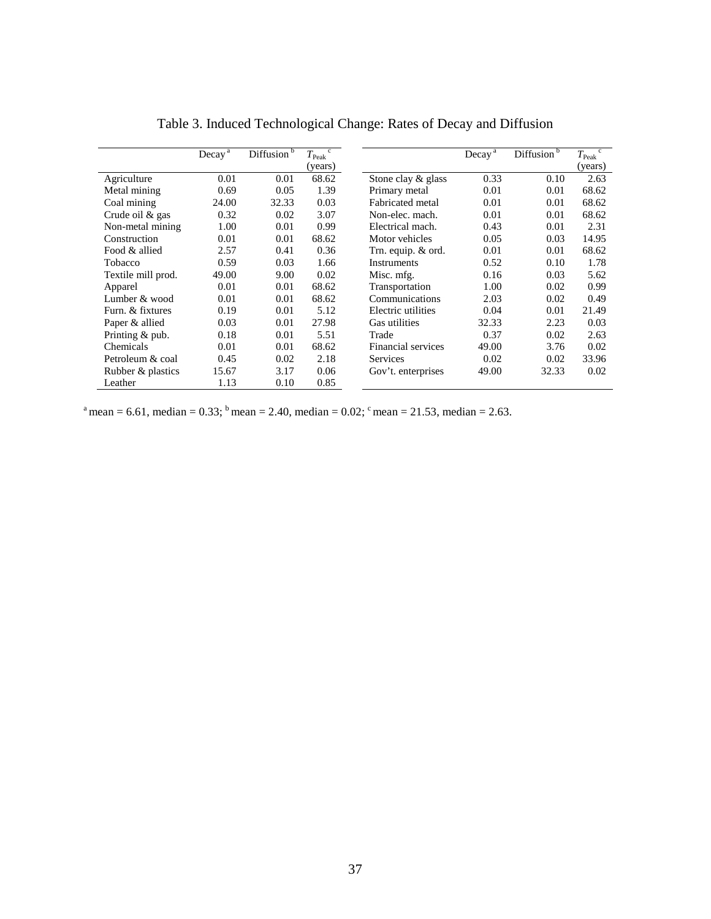|                    | Decay <sup>a</sup> | Diffusion <sup>b</sup> | $\mathbf{c}$<br>$T_{\rm Peak}$<br>(years) |                    | Decay <sup>a</sup> | Diffusion <sup>b</sup> | $\mathbf{c}$<br>$T_{\rm Peak}$<br>(years) |
|--------------------|--------------------|------------------------|-------------------------------------------|--------------------|--------------------|------------------------|-------------------------------------------|
| Agriculture        | 0.01               | 0.01                   | 68.62                                     | Stone clay & glass | 0.33               | 0.10                   | 2.63                                      |
| Metal mining       | 0.69               | 0.05                   | 1.39                                      | Primary metal      | 0.01               | 0.01                   | 68.62                                     |
| Coal mining        | 24.00              | 32.33                  | 0.03                                      | Fabricated metal   | 0.01               | 0.01                   | 68.62                                     |
| Crude oil & gas    | 0.32               | 0.02                   | 3.07                                      | Non-elec. mach.    | 0.01               | 0.01                   | 68.62                                     |
| Non-metal mining   | 1.00               | 0.01                   | 0.99                                      | Electrical mach.   | 0.43               | 0.01                   | 2.31                                      |
| Construction       | 0.01               | 0.01                   | 68.62                                     | Motor vehicles     | 0.05               | 0.03                   | 14.95                                     |
| Food & allied      | 2.57               | 0.41                   | 0.36                                      | Trn. equip. & ord. | 0.01               | 0.01                   | 68.62                                     |
| Tobacco            | 0.59               | 0.03                   | 1.66                                      | <b>Instruments</b> | 0.52               | 0.10                   | 1.78                                      |
| Textile mill prod. | 49.00              | 9.00                   | 0.02                                      | Misc. mfg.         | 0.16               | 0.03                   | 5.62                                      |
| Apparel            | 0.01               | 0.01                   | 68.62                                     | Transportation     | 1.00               | 0.02                   | 0.99                                      |
| Lumber & wood      | 0.01               | 0.01                   | 68.62                                     | Communications     | 2.03               | 0.02                   | 0.49                                      |
| Furn. & fixtures   | 0.19               | 0.01                   | 5.12                                      | Electric utilities | 0.04               | 0.01                   | 21.49                                     |
| Paper & allied     | 0.03               | 0.01                   | 27.98                                     | Gas utilities      | 32.33              | 2.23                   | 0.03                                      |
| Printing & pub.    | 0.18               | 0.01                   | 5.51                                      | Trade              | 0.37               | 0.02                   | 2.63                                      |
| Chemicals          | 0.01               | 0.01                   | 68.62                                     | Financial services | 49.00              | 3.76                   | 0.02                                      |
| Petroleum & coal   | 0.45               | 0.02                   | 2.18                                      | <b>Services</b>    | 0.02               | 0.02                   | 33.96                                     |
| Rubber & plastics  | 15.67              | 3.17                   | 0.06                                      | Gov't. enterprises | 49.00              | 32.33                  | 0.02                                      |
| Leather            | 1.13               | 0.10                   | 0.85                                      |                    |                    |                        |                                           |

Table 3. Induced Technological Change: Rates of Decay and Diffusion

<sup>a</sup> mean = 6.61, median = 0.33; <sup>b</sup> mean = 2.40, median = 0.02; <sup>c</sup> mean = 21.53, median = 2.63.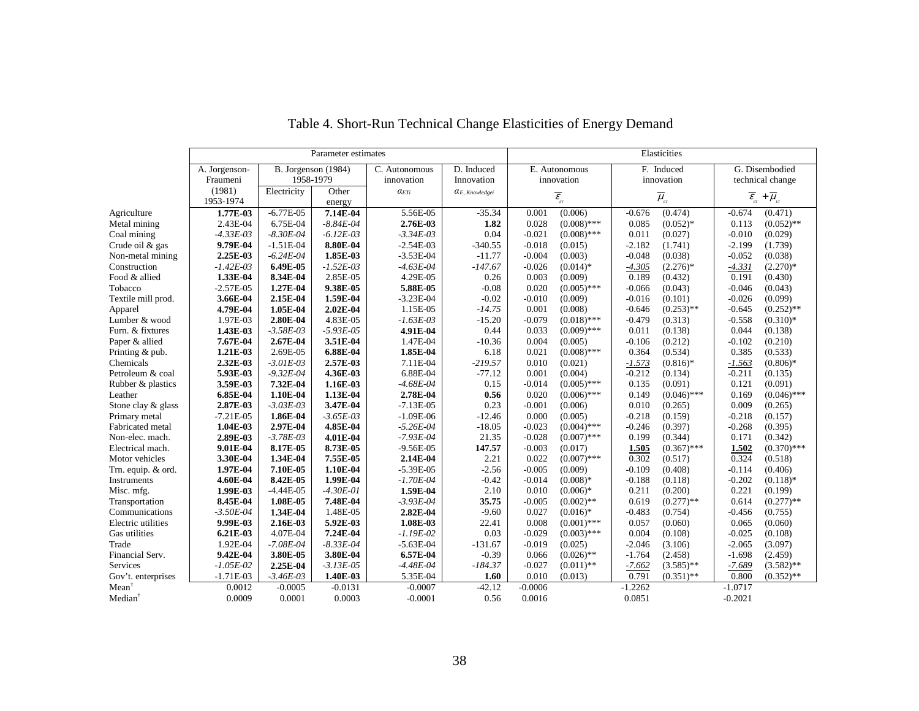|                     | Parameter estimates |               |                       |                | Elasticities            |           |                                  |           |                           |                                                 |                             |
|---------------------|---------------------|---------------|-----------------------|----------------|-------------------------|-----------|----------------------------------|-----------|---------------------------|-------------------------------------------------|-----------------------------|
|                     | A. Jorgenson-       |               | B. Jorgenson $(1984)$ | C. Autonomous  | D. Induced              |           | E. Autonomous                    |           | F. Induced                |                                                 | G. Disembodied              |
|                     | Fraumeni            |               | 1958-1979             | innovation     | Innovation              |           | innovation                       |           | innovation                |                                                 | technical change            |
|                     | (1981)              | Electricity   | Other                 | $\alpha_{ETi}$ | $\alpha_{E.~Knowledge}$ |           |                                  |           |                           |                                                 |                             |
|                     | 1953-1974           |               | energy                |                |                         |           | $\overline{\mathcal{E}}_{_{ET}}$ |           | $\overline{\mu}_{_{\!H}}$ | $\overline{\mathbfcal{E}}_{_{\!\!\mathit{ET}}}$ | $+ \overline{\mu}_{_{\!H}}$ |
| Agriculture         | 1.77E-03            | $-6.77E-05$   | 7.14E-04              | 5.56E-05       | $-35.34$                | 0.001     | (0.006)                          | $-0.676$  | (0.474)                   | $-0.674$                                        | (0.471)                     |
| Metal mining        | 2.43E-04            | 6.75E-04      | $-8.84E - 04$         | 2.76E-03       | 1.82                    | 0.028     | $(0.008)$ ***                    | 0.085     | $(0.052)*$                | 0.113                                           | $(0.052)$ **                |
| Coal mining         | $-4.33E-03$         | $-8.30E - 04$ | $-6.12E-03$           | $-3.34E - 03$  | 0.04                    | $-0.021$  | $(0.008)$ ***                    | 0.011     | (0.027)                   | $-0.010$                                        | (0.029)                     |
| Crude oil & gas     | 9.79E-04            | $-1.51E-04$   | 8.80E-04              | $-2.54E-03$    | $-340.55$               | $-0.018$  | (0.015)                          | $-2.182$  | (1.741)                   | $-2.199$                                        | (1.739)                     |
| Non-metal mining    | 2.25E-03            | $-6.24E - 04$ | 1.85E-03              | $-3.53E-04$    | $-11.77$                | $-0.004$  | (0.003)                          | $-0.048$  | (0.038)                   | $-0.052$                                        | (0.038)                     |
| Construction        | $-1.42E-03$         | 6.49E-05      | $-1.52E-03$           | $-4.63E-04$    | $-147.67$               | $-0.026$  | $(0.014)$ *                      | $-4.305$  | $(2.276)*$                | $-4.331$                                        | $(2.270)*$                  |
| Food & allied       | 1.33E-04            | 8.34E-04      | 2.85E-05              | 4.29E-05       | 0.26                    | 0.003     | (0.009)                          | 0.189     | (0.432)                   | 0.191                                           | (0.430)                     |
| Tobacco             | $-2.57E-05$         | 1.27E-04      | 9.38E-05              | 5.88E-05       | $-0.08$                 | 0.020     | $(0.005)$ ***                    | $-0.066$  | (0.043)                   | $-0.046$                                        | (0.043)                     |
| Textile mill prod.  | 3.66E-04            | 2.15E-04      | 1.59E-04              | $-3.23E-04$    | $-0.02$                 | $-0.010$  | (0.009)                          | $-0.016$  | (0.101)                   | $-0.026$                                        | (0.099)                     |
| Apparel             | 4.79E-04            | 1.05E-04      | 2.02E-04              | 1.15E-05       | $-14.75$                | 0.001     | (0.008)                          | $-0.646$  | $(0.253)$ **              | $-0.645$                                        | $(0.252)$ **                |
| Lumber & wood       | 1.97E-03            | 2.80E-04      | 4.83E-05              | $-1.63E-03$    | $-15.20$                | $-0.079$  | $(0.018)$ ***                    | $-0.479$  | (0.313)                   | $-0.558$                                        | $(0.310)*$                  |
| Furn. & fixtures    | 1.43E-03            | $-3.58E - 03$ | $-5.93E - 05$         | 4.91E-04       | 0.44                    | 0.033     | $(0.009)$ ***                    | 0.011     | (0.138)                   | 0.044                                           | (0.138)                     |
| Paper & allied      | 7.67E-04            | 2.67E-04      | 3.51E-04              | 1.47E-04       | $-10.36$                | 0.004     | (0.005)                          | $-0.106$  | (0.212)                   | $-0.102$                                        | (0.210)                     |
| Printing & pub.     | 1.21E-03            | 2.69E-05      | 6.88E-04              | 1.85E-04       | 6.18                    | 0.021     | $(0.008)$ ***                    | 0.364     | (0.534)                   | 0.385                                           | (0.533)                     |
| Chemicals           | 2.32E-03            | $-3.01E-03$   | 2.57E-03              | 7.11E-04       | $-219.57$               | 0.010     | (0.021)                          | $-1.573$  | $(0.816)$ *               | $-1.563$                                        | $(0.806)*$                  |
| Petroleum & coal    | 5.93E-03            | $-9.32E - 04$ | 4.36E-03              | 6.88E-04       | $-77.12$                | 0.001     | (0.004)                          | $-0.212$  | (0.134)                   | $-0.211$                                        | (0.135)                     |
| Rubber & plastics   | 3.59E-03            | 7.32E-04      | 1.16E-03              | $-4.68E - 04$  | 0.15                    | $-0.014$  | $(0.005)$ ***                    | 0.135     | (0.091)                   | 0.121                                           | (0.091)                     |
| Leather             | 6.85E-04            | 1.10E-04      | 1.13E-04              | 2.78E-04       | 0.56                    | 0.020     | $(0.006)$ ***                    | 0.149     | $(0.046)$ ***             | 0.169                                           | $(0.046)$ ***               |
| Stone clay & glass  | 2.87E-03            | $-3.03E-03$   | 3.47E-04              | $-7.13E-05$    | 0.23                    | $-0.001$  | (0.006)                          | 0.010     | (0.265)                   | 0.009                                           | (0.265)                     |
| Primary metal       | $-7.21E-05$         | 1.86E-04      | $-3.65E-03$           | $-1.09E-06$    | $-12.46$                | 0.000     | (0.005)                          | $-0.218$  | (0.159)                   | $-0.218$                                        | (0.157)                     |
| Fabricated metal    | 1.04E-03            | 2.97E-04      | 4.85E-04              | $-5.26E - 04$  | $-18.05$                | $-0.023$  | $(0.004)$ ***                    | $-0.246$  | (0.397)                   | $-0.268$                                        | (0.395)                     |
| Non-elec. mach.     | 2.89E-03            | $-3.78E - 03$ | 4.01E-04              | $-7.93E - 04$  | 21.35                   | $-0.028$  | $(0.007)$ ***                    | 0.199     | (0.344)                   | 0.171                                           | (0.342)                     |
| Electrical mach.    | 9.01E-04            | 8.17E-05      | 8.73E-05              | $-9.56E - 05$  | 147.57                  | $-0.003$  | (0.017)                          | 1.505     | $(0.367)$ ***             | 1.502                                           | $(0.370)$ ***               |
| Motor vehicles      | 3.30E-04            | 1.34E-04      | 7.55E-05              | 2.14E-04       | 2.21                    | 0.022     | $(0.007)$ ***                    | 0.302     | (0.517)                   | 0.324                                           | (0.518)                     |
| Trn. equip. & ord.  | 1.97E-04            | 7.10E-05      | 1.10E-04              | $-5.39E-05$    | $-2.56$                 | $-0.005$  | (0.009)                          | $-0.109$  | (0.408)                   | $-0.114$                                        | (0.406)                     |
| Instruments         | 4.60E-04            | 8.42E-05      | 1.99E-04              | $-1.70E-04$    | $-0.42$                 | $-0.014$  | $(0.008)*$                       | $-0.188$  | (0.118)                   | $-0.202$                                        | $(0.118)$ *                 |
| Misc. mfg.          | 1.99E-03            | $-4.44E-05$   | $-4.30E - 01$         | 1.59E-04       | 2.10                    | 0.010     | $(0.006)*$                       | 0.211     | (0.200)                   | 0.221                                           | (0.199)                     |
| Transportation      | 8.45E-04            | 1.08E-05      | 7.48E-04              | $-3.93E - 04$  | 35.75                   | $-0.005$  | $(0.002)$ **                     | 0.619     | $(0.277)$ **              | 0.614                                           | $(0.277)$ **                |
| Communications      | $-3.50E-04$         | 1.34E-04      | 1.48E-05              | 2.82E-04       | $-9.60$                 | 0.027     | $(0.016)*$                       | $-0.483$  | (0.754)                   | $-0.456$                                        | (0.755)                     |
| Electric utilities  | 9.99E-03            | 2.16E-03      | 5.92E-03              | 1.08E-03       | 22.41                   | 0.008     | $(0.001)$ ***                    | 0.057     | (0.060)                   | 0.065                                           | (0.060)                     |
| Gas utilities       | 6.21E-03            | 4.07E-04      | 7.24E-04              | $-1.19E-02$    | 0.03                    | $-0.029$  | $(0.003)$ ***                    | 0.004     | (0.108)                   | $-0.025$                                        | (0.108)                     |
| Trade               | 1.92E-04            | $-7.08E - 04$ | $-8.33E - 04$         | $-5.63E-04$    | $-131.67$               | $-0.019$  | (0.025)                          | $-2.046$  | (3.106)                   | $-2.065$                                        | (3.097)                     |
| Financial Serv.     | 9.42E-04            | 3.80E-05      | 3.80E-04              | 6.57E-04       | $-0.39$                 | 0.066     | $(0.026)$ **                     | $-1.764$  | (2.458)                   | $-1.698$                                        | (2.459)                     |
| Services            | $-1.05E-02$         | 2.25E-04      | $-3.13E-05$           | $-4.48E - 04$  | $-184.37$               | $-0.027$  | $(0.011)$ **                     | $-7.662$  | $(3.585)$ **              | $-7.689$                                        | $(3.582)$ **                |
| Gov't. enterprises  | $-1.71E-03$         | $-3.46E - 03$ | 1.40E-03              | 5.35E-04       | 1.60                    | 0.010     | (0.013)                          | 0.791     | $(0.351)$ **              | 0.800                                           | $(0.352)$ **                |
| Mean                | 0.0012              | $-0.0005$     | $-0.0131$             | $-0.0007$      | $-42.12$                | $-0.0006$ |                                  | $-1.2262$ |                           | $-1.0717$                                       |                             |
| Median <sup>†</sup> | 0.0009              | 0.0001        | 0.0003                | $-0.0001$      | 0.56                    | 0.0016    |                                  | 0.0851    |                           | $-0.2021$                                       |                             |

## Table 4. Short-Run Technical Change Elasticities of Energy Demand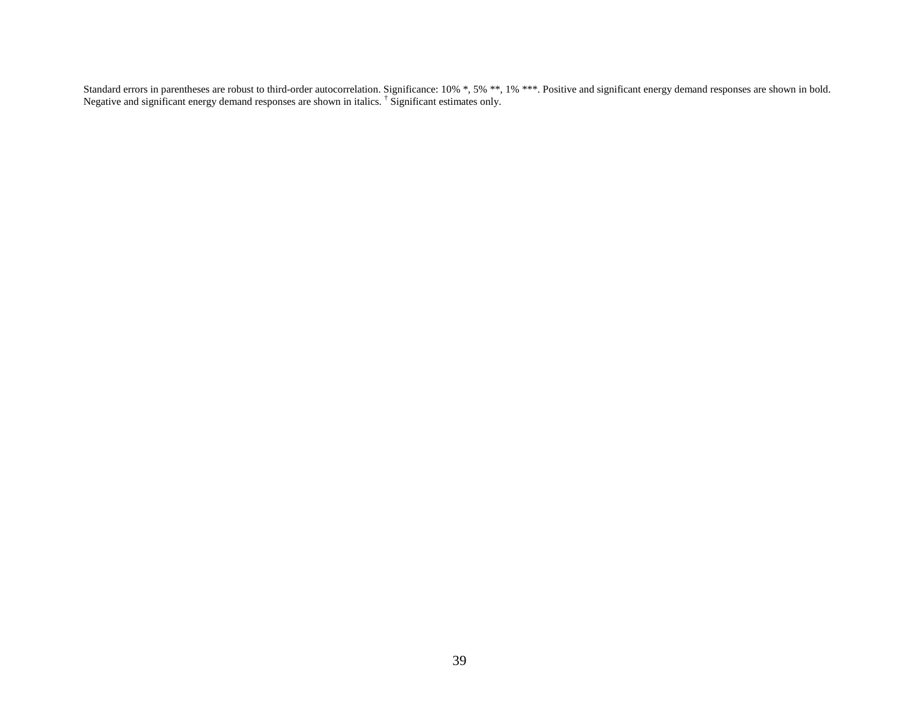Standard errors in parentheses are robust to third-order autocorrelation. Significance: 10% \*, 5% \*\*, 1% \*\*\*. Positive and significant energy demand responses are shown in bold.<br>Negative and significant energy demand respo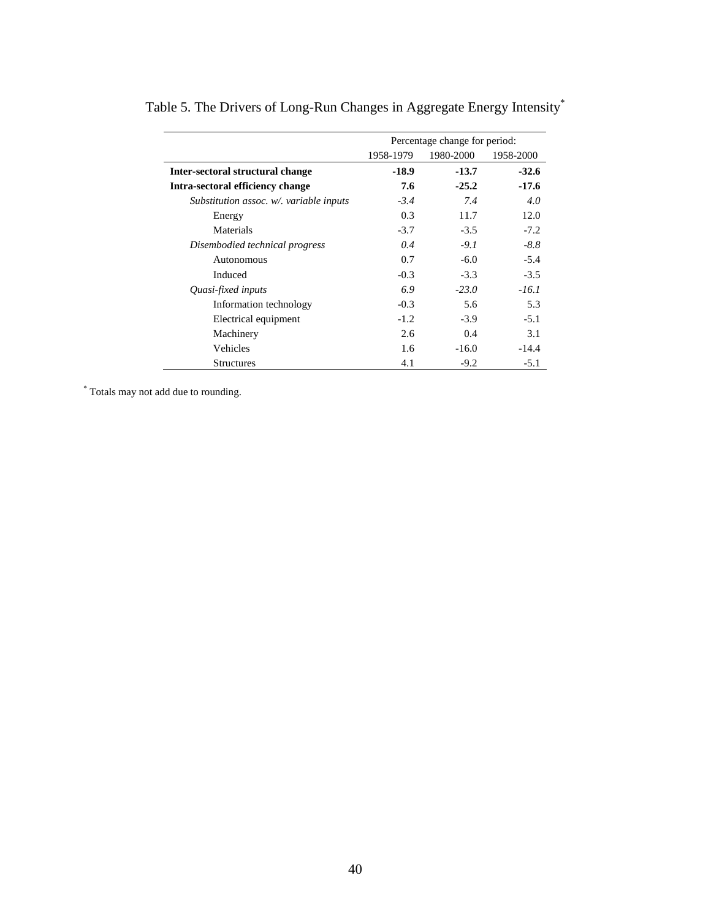|                                         | Percentage change for period: |           |           |  |  |  |
|-----------------------------------------|-------------------------------|-----------|-----------|--|--|--|
|                                         | 1958-1979                     | 1980-2000 | 1958-2000 |  |  |  |
| Inter-sectoral structural change        | $-18.9$                       | $-13.7$   | $-32.6$   |  |  |  |
| Intra-sectoral efficiency change        | 7.6                           | $-25.2$   | $-17.6$   |  |  |  |
| Substitution assoc. w/. variable inputs | $-3.4$                        | 7.4       | 4.0       |  |  |  |
| Energy                                  | 0.3                           | 11.7      | 12.0      |  |  |  |
| Materials                               | $-3.7$                        | $-3.5$    | $-7.2$    |  |  |  |
| Disembodied technical progress          | 0.4                           | $-9.1$    | $-8.8$    |  |  |  |
| Autonomous                              | 0.7                           | $-6.0$    | $-5.4$    |  |  |  |
| Induced                                 | $-0.3$                        | $-3.3$    | $-3.5$    |  |  |  |
| Quasi-fixed inputs                      | 6.9                           | $-23.0$   | $-16.1$   |  |  |  |
| Information technology                  | $-0.3$                        | 5.6       | 5.3       |  |  |  |
| Electrical equipment                    | $-1.2$                        | $-3.9$    | $-5.1$    |  |  |  |
| Machinery                               | 2.6                           | 0.4       | 3.1       |  |  |  |
| Vehicles                                | 1.6                           | $-16.0$   | $-14.4$   |  |  |  |
| <b>Structures</b>                       | 4.1                           | $-9.2$    | $-5.1$    |  |  |  |

Table 5. The Drivers of Long-Run Changes in Aggregate Energy Intensity\*

\* Totals may not add due to rounding.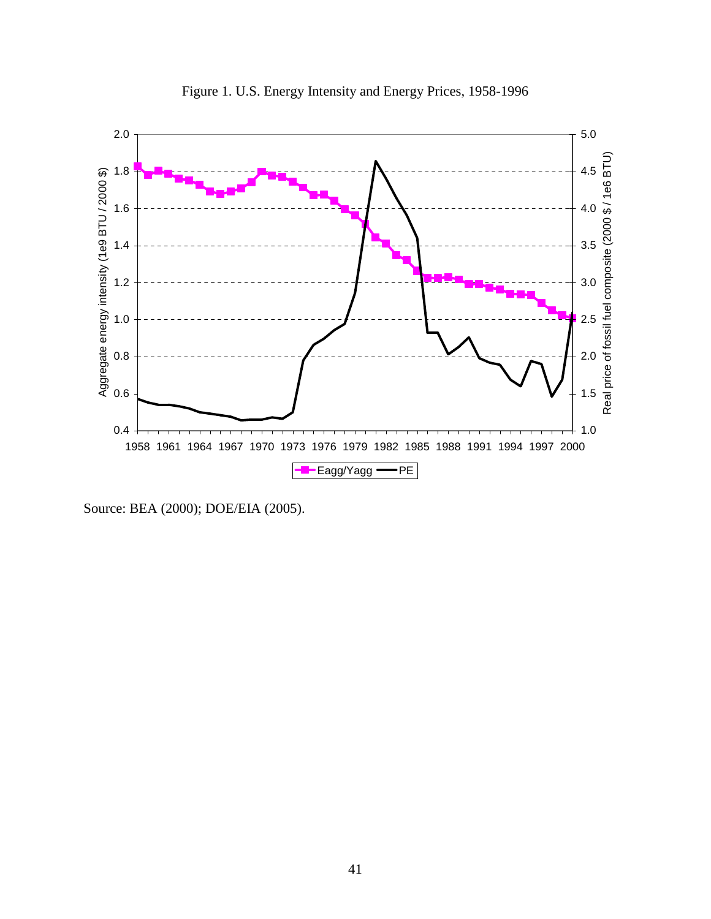

Figure 1. U.S. Energy Intensity and Energy Prices, 1958-1996

Source: BEA (2000); DOE/EIA (2005).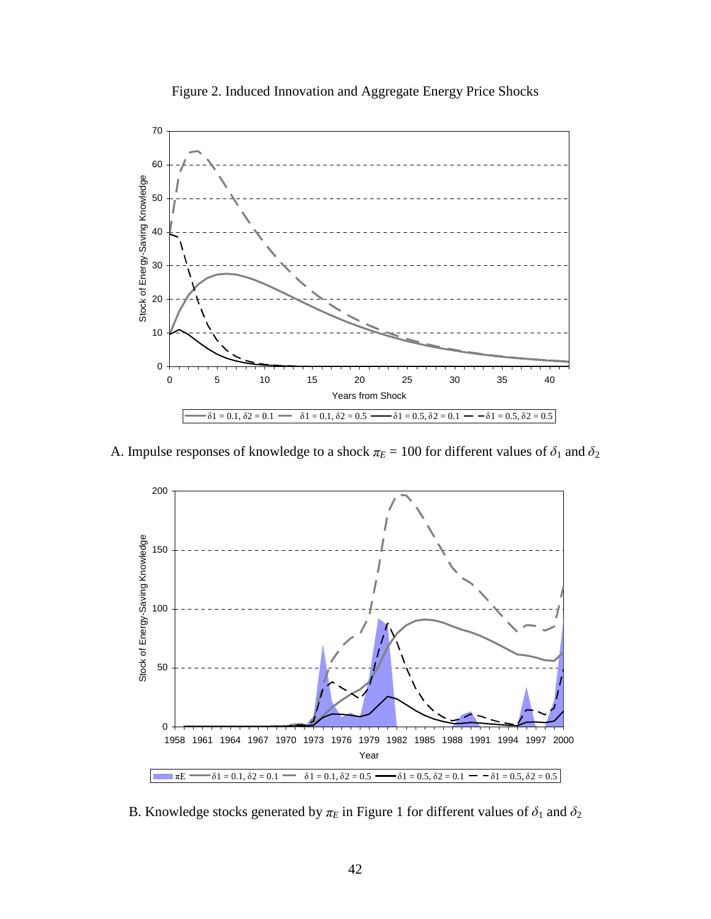

Figure 2. Induced Innovation and Aggregate Energy Price Shocks

A. Impulse responses of knowledge to a shock  $\pi_E = 100$  for different values of  $\delta_1$  and  $\delta_2$ 



B. Knowledge stocks generated by  $\pi_E$  in Figure 1 for different values of  $\delta_1$  and  $\delta_2$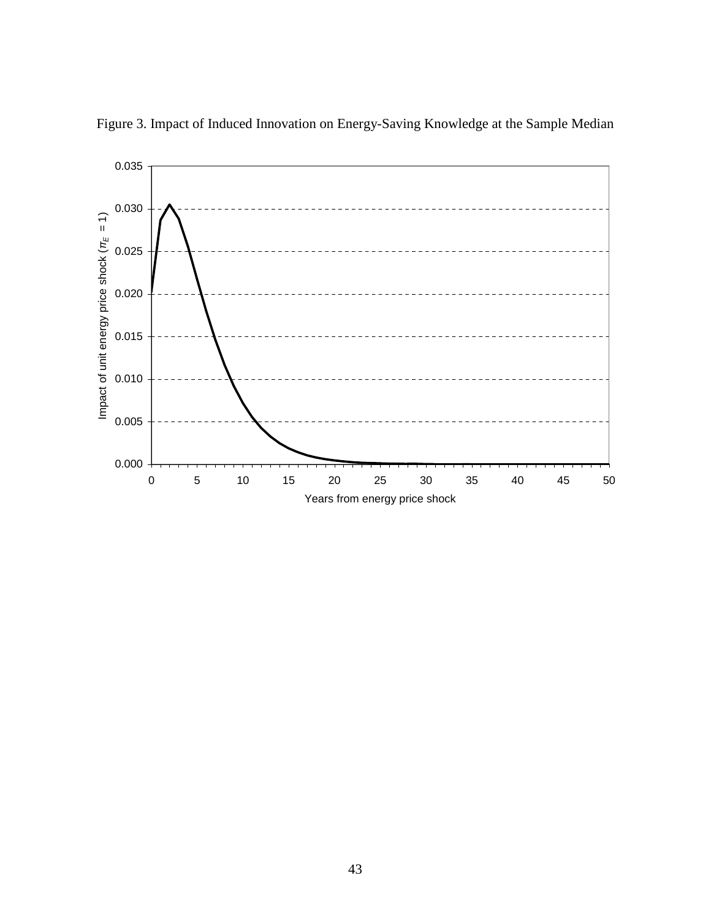

Figure 3. Impact of Induced Innovation on Energy-Saving Knowledge at the Sample Median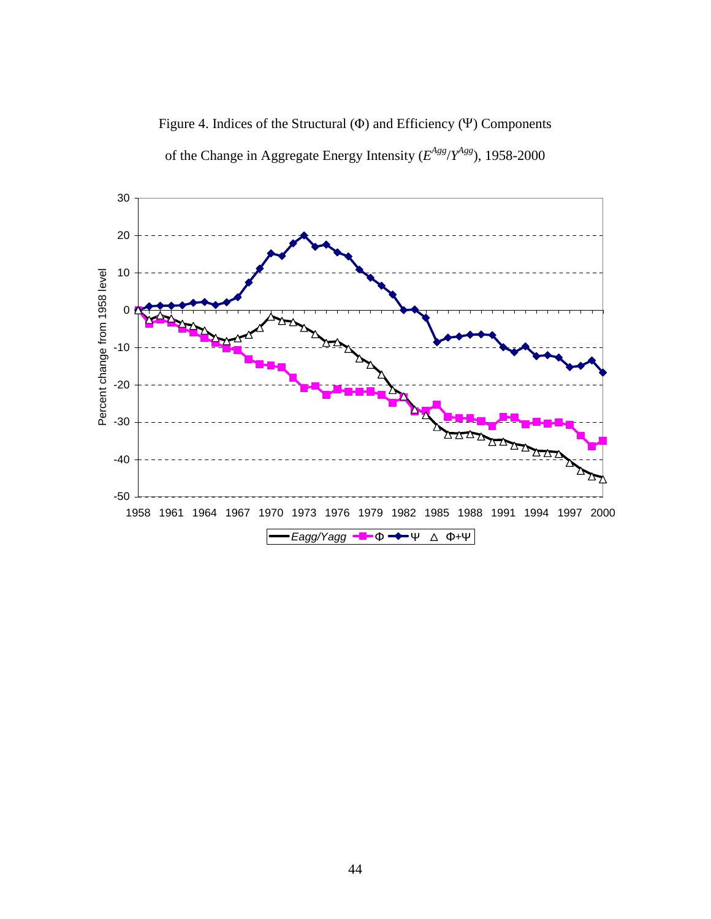Figure 4. Indices of the Structural (<sup>Φ</sup> ) and Efficiency (<sup>Ψ</sup> ) Components



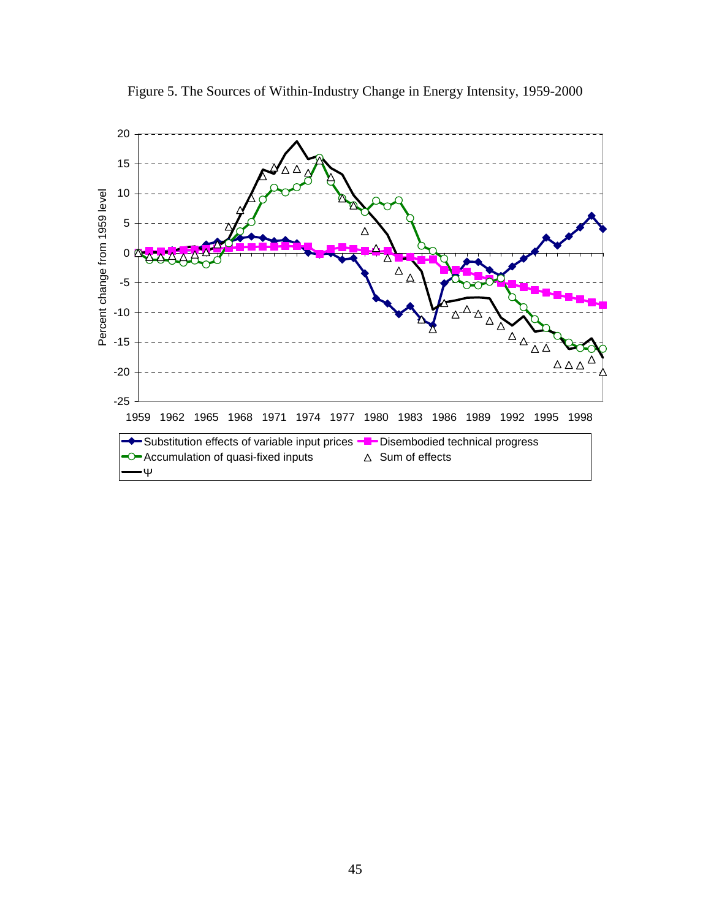

Figure 5. The Sources of Within-Industry Change in Energy Intensity, 1959-2000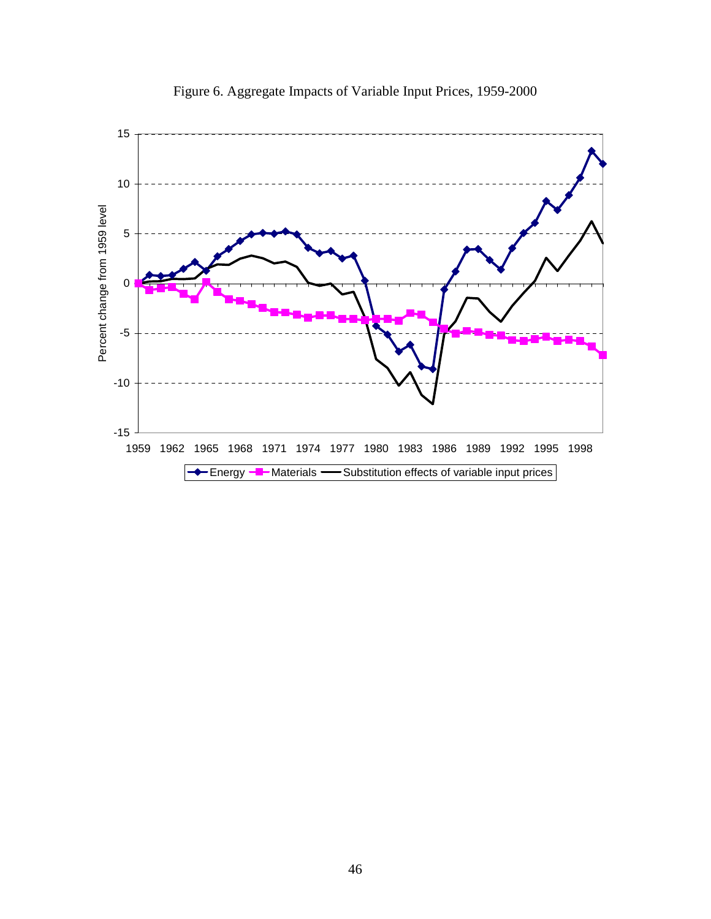

Figure 6. Aggregate Impacts of Variable Input Prices, 1959-2000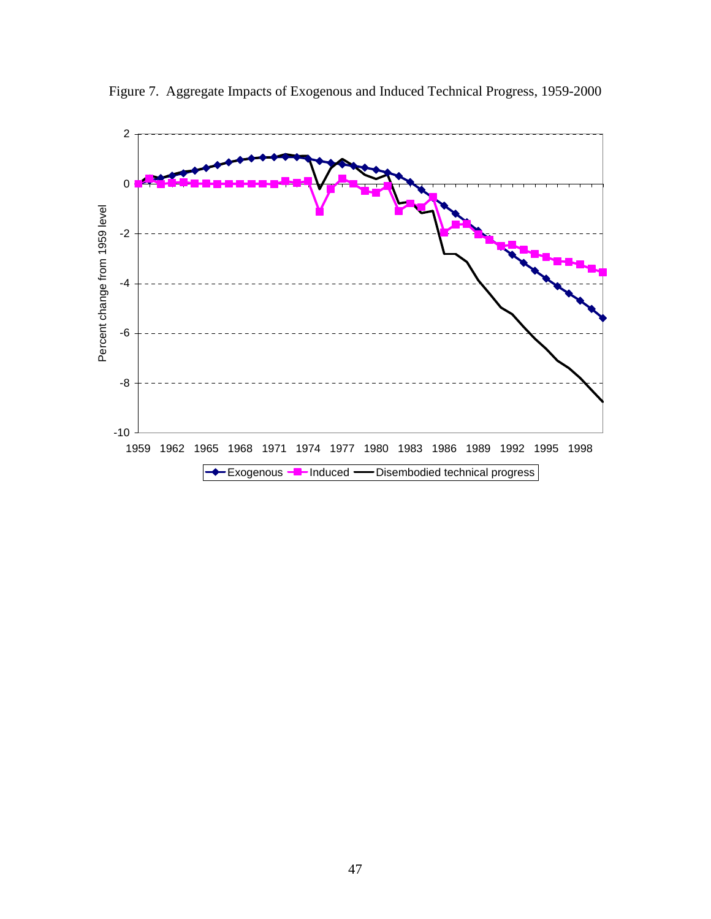

Figure 7. Aggregate Impacts of Exogenous and Induced Technical Progress, 1959-2000